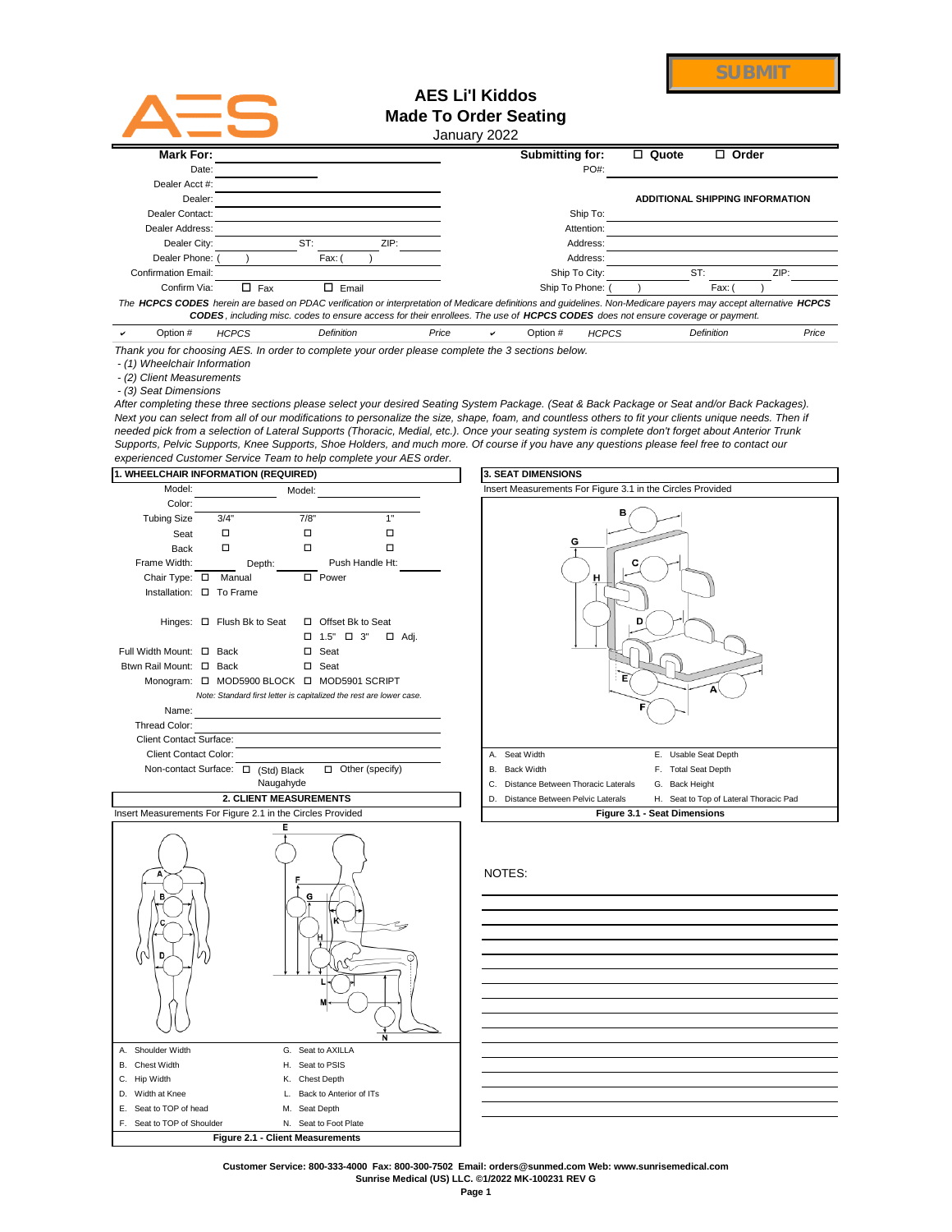



**AES Li'l Kiddos Made To Order Seating**

January 2022

| <b>Mark For:</b>                                                                                                                                                 |                                                                                                                                               |                   |      |       |   | Submitting for: |               | $\Box$ Quote | $\Box$ Order                    |      |       |
|------------------------------------------------------------------------------------------------------------------------------------------------------------------|-----------------------------------------------------------------------------------------------------------------------------------------------|-------------------|------|-------|---|-----------------|---------------|--------------|---------------------------------|------|-------|
| Date:                                                                                                                                                            |                                                                                                                                               |                   |      |       |   |                 | PO#:          |              |                                 |      |       |
| Dealer Acct #:                                                                                                                                                   |                                                                                                                                               |                   |      |       |   |                 |               |              |                                 |      |       |
| Dealer:                                                                                                                                                          |                                                                                                                                               |                   |      |       |   |                 |               |              | ADDITIONAL SHIPPING INFORMATION |      |       |
| Dealer Contact:                                                                                                                                                  |                                                                                                                                               |                   |      |       |   |                 | Ship To:      |              |                                 |      |       |
| Dealer Address:                                                                                                                                                  |                                                                                                                                               |                   |      |       |   |                 | Attention:    |              |                                 |      |       |
| Dealer City:                                                                                                                                                     |                                                                                                                                               | ST:               | ZIP: |       |   |                 | Address:      |              |                                 |      |       |
| Dealer Phone:                                                                                                                                                    |                                                                                                                                               | Fax: (            |      |       |   |                 | Address:      |              |                                 |      |       |
| <b>Confirmation Email:</b>                                                                                                                                       |                                                                                                                                               |                   |      |       |   |                 | Ship To City: |              | ST:                             | ZIP: |       |
| Confirm Via:                                                                                                                                                     | Fax<br>п                                                                                                                                      | п.<br>Email       |      |       |   | Ship To Phone:  |               |              | Fax:                            |      |       |
| The HCPCS CODES herein are based on PDAC verification or interpretation of Medicare definitions and quidelines. Non-Medicare payers may accept alternative HCPCS | <b>CODES</b> , including misc. codes to ensure access for their enrollees. The use of <b>HCPCS CODES</b> does not ensure coverage or payment. |                   |      |       |   |                 |               |              |                                 |      |       |
| Option #                                                                                                                                                         | <b>HCPCS</b>                                                                                                                                  | <b>Definition</b> |      | Price | ◡ | Option #        | <b>HCPCS</b>  |              | <b>Definition</b>               |      | Price |

*Thank you for choosing AES. In order to complete your order please complete the 3 sections below.* 

 *- (1) Wheelchair Information*

 *- (2) Client Measurements*

 *- (3) Seat Dimensions* 

*After completing these three sections please select your desired Seating System Package. (Seat & Back Package or Seat and/or Back Packages).* Next you can select from all of our modifications to personalize the size, shape, foam, and countless others to fit your clients unique needs. Then if *needed pick from a selection of Lateral Supports (Thoracic, Medial, etc.). Once your seating system is complete don't forget about Anterior Trunk Supports, Pelvic Supports, Knee Supports, Shoe Holders, and much more. Of course if you have any questions please feel free to contact our experienced Customer Service Team to help complete your AES order.*

|                               | 1. WHEELCHAIR INFORMATION (REQUIRED)                       |        |                                                                     |
|-------------------------------|------------------------------------------------------------|--------|---------------------------------------------------------------------|
| Model:                        |                                                            | Model: |                                                                     |
| Color:                        |                                                            |        |                                                                     |
| <b>Tubing Size</b>            | 3/4"                                                       | 7/8"   | 1"                                                                  |
| Seat                          | $\Box$                                                     | □      | □                                                                   |
| Back                          | □                                                          | □      | П                                                                   |
| Frame Width:                  | Depth:                                                     |        | Push Handle Ht:                                                     |
| Chair Type: 0 Manual          |                                                            |        | $\overline{\Box}$ Power                                             |
| Installation: □ To Frame      |                                                            |        |                                                                     |
|                               | Hinges: $\Box$ Flush Bk to Seat $\Box$ Offset Bk to Seat   |        |                                                                     |
|                               |                                                            |        | □ 1.5" □ 3" □ Adj.                                                  |
| Full Width Mount: $\Box$ Back |                                                            |        | $\square$ Seat                                                      |
| Btwn Rail Mount: □ Back       |                                                            |        | $\square$ Seat                                                      |
|                               |                                                            |        | Monogram: C MOD5900 BLOCK C MOD5901 SCRIPT                          |
|                               |                                                            |        | Note: Standard first letter is capitalized the rest are lower case. |
| Name:                         |                                                            |        |                                                                     |
| Thread Color:                 |                                                            |        |                                                                     |
| Client Contact Surface:       |                                                            |        |                                                                     |
| <b>Client Contact Color:</b>  |                                                            |        |                                                                     |
| Non-contact Surface:          | $\Box$ (Std) Black                                         |        | $\Box$ Other (specify)                                              |
|                               | Naugahyde                                                  |        |                                                                     |
|                               | 2. CLIENT MEASUREMENTS                                     |        |                                                                     |
|                               |                                                            |        |                                                                     |
|                               | Insert Measurements For Figure 2.1 in the Circles Provided |        |                                                                     |
|                               | Е                                                          | G      | N                                                                   |
| A. Shoulder Width             |                                                            |        | G. Seat to AXILLA                                                   |
| B. Chest Width                |                                                            |        | H. Seat to PSIS                                                     |
| C. Hip Width                  |                                                            |        | K. Chest Depth                                                      |
| D. Width at Knee              |                                                            |        | L. Back to Anterior of ITs                                          |
| E. Seat to TOP of head        |                                                            |        | M. Seat Depth                                                       |
| F. Seat to TOP of Shoulder    |                                                            |        | N. Seat to Foot Plate                                               |

## **1. SEAT DIMENSIONS**



## NOTES:

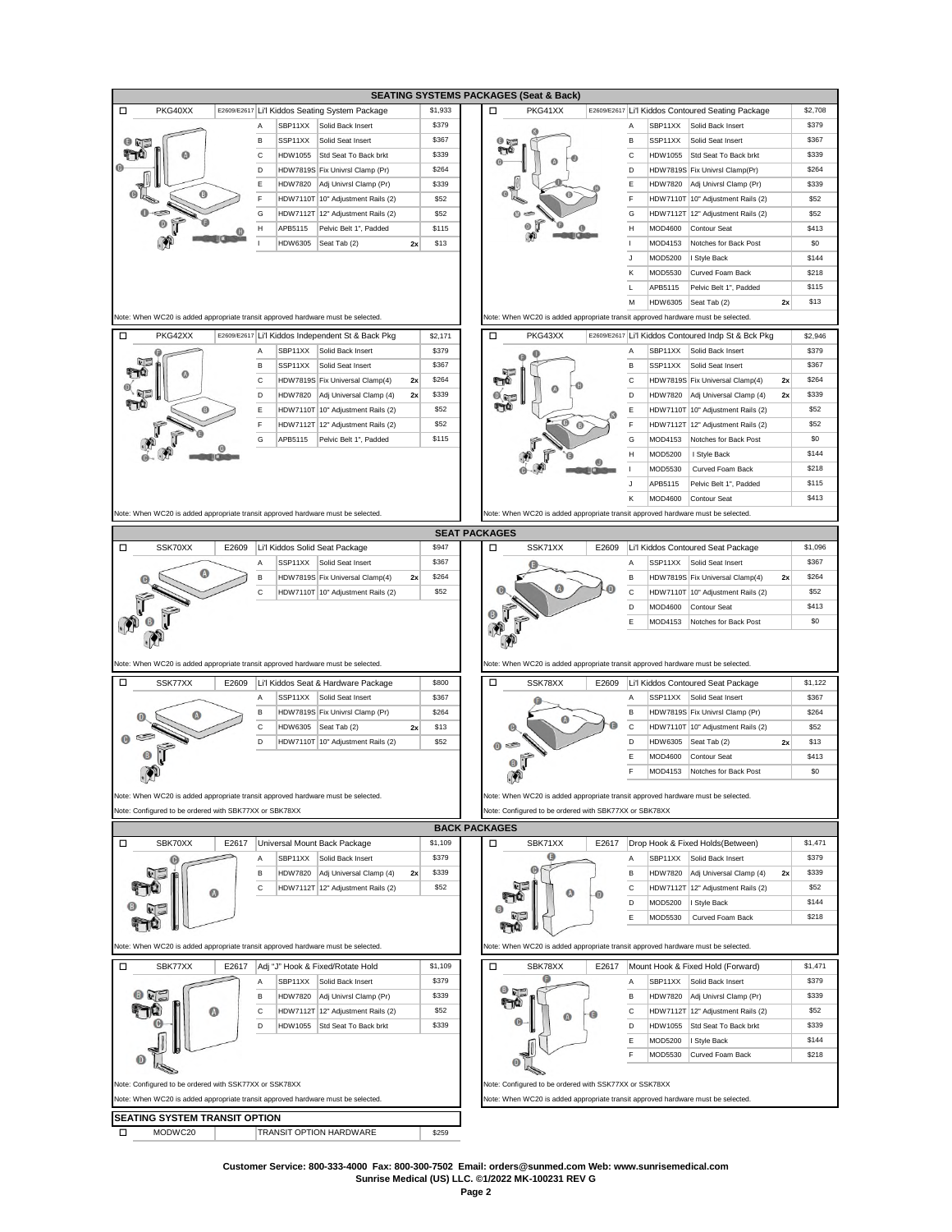|                                                                                  |                                |                                                   |                    |                       | <b>SEATING SYSTEMS PACKAGES (Seat &amp; Back)</b>      |       |                         |                                                                                  |         |
|----------------------------------------------------------------------------------|--------------------------------|---------------------------------------------------|--------------------|-----------------------|--------------------------------------------------------|-------|-------------------------|----------------------------------------------------------------------------------|---------|
| PKG40XX<br>□                                                                     |                                | E2609/E2617 Li'l Kiddos Seating System Package    | \$1,933            | □                     | PKG41XX                                                |       |                         | E2609/E2617 Li'l Kiddos Contoured Seating Package                                | \$2,708 |
|                                                                                  | SBP11XX<br>A                   | Solid Back Insert                                 | \$379              |                       |                                                        |       | SBP11XX<br>A            | Solid Back Insert                                                                | \$379   |
|                                                                                  | B<br>SSP11XX                   | Solid Seat Insert                                 | <b>\$367</b>       | $0$ in $\overline{a}$ |                                                        |       | B<br>SSP11XX            | Solid Seat Insert                                                                | \$367   |
| ω                                                                                | С<br>HDW1055                   | Std Seat To Back brkt                             | \$339              | تالي                  |                                                        |       | $\mathsf{C}$<br>HDW1055 | Std Seat To Back brkt                                                            | \$339   |
|                                                                                  | D                              | HDW7819S Fix UnivrsI Clamp (Pr)                   | \$264              |                       |                                                        |       | D                       | HDW7819S Fix UnivrsI Clamp(Pr)                                                   | \$264   |
|                                                                                  |                                |                                                   |                    |                       |                                                        |       |                         |                                                                                  |         |
| 0                                                                                | Ε<br><b>HDW7820</b>            | Adj Univrsl Clamp (Pr)                            | \$339              |                       |                                                        |       | Ε<br><b>HDW7820</b>     | Adj Univrsl Clamp (Pr)                                                           | \$339   |
|                                                                                  | F                              | HDW7110T 10" Adjustment Rails (2)                 | \$52               |                       |                                                        |       | F                       | HDW7110T 10" Adjustment Rails (2)                                                | \$52    |
|                                                                                  | G                              | HDW7112T 12" Adjustment Rails (2)                 | \$52               | $\Omega$              |                                                        |       | G                       | HDW7112T 12" Adjustment Rails (2)                                                | \$52    |
|                                                                                  | н<br>APB5115                   | Pelvic Belt 1", Padded                            | <b>\$115</b>       |                       | Θ                                                      |       | н<br><b>MOD4600</b>     | Contour Seat                                                                     | \$413   |
|                                                                                  | HDW6305                        | Seat Tab (2)                                      | 2x<br>\$13         |                       |                                                        |       | $\mathbf{I}$<br>MOD4153 | Notches for Back Post                                                            | \$0     |
|                                                                                  |                                |                                                   |                    |                       |                                                        |       | J<br>MOD5200            | I Style Back                                                                     | \$144   |
|                                                                                  |                                |                                                   |                    |                       |                                                        |       | Κ<br>MOD5530            | Curved Foam Back                                                                 | \$218   |
|                                                                                  |                                |                                                   |                    |                       |                                                        |       |                         |                                                                                  | \$115   |
|                                                                                  |                                |                                                   |                    |                       |                                                        |       | L<br>APB5115            | Pelvic Belt 1", Padded                                                           |         |
|                                                                                  |                                |                                                   |                    |                       |                                                        |       | M<br>HDW6305            | Seat Tab (2)<br>2x                                                               | \$13    |
| Note: When WC20 is added appropriate transit approved hardware must be selected. |                                |                                                   |                    |                       |                                                        |       |                         | Note: When WC20 is added appropriate transit approved hardware must be selected. |         |
| о<br>PKG42XX                                                                     |                                | E2609/E2617 Li'l Kiddos Independent St & Back Pkg | \$2,171            | □                     | PKG43XX                                                |       |                         | E2609/E2617 Li'l Kiddos Contoured Indp St & Bck Pkg                              | \$2,946 |
|                                                                                  | SBP11XX<br>Α                   | Solid Back Insert                                 | \$379              |                       |                                                        |       | SBP11XX<br>Α            | Solid Back Insert                                                                | \$379   |
| Θ                                                                                |                                |                                                   |                    |                       | a                                                      |       |                         |                                                                                  |         |
| $\Omega$                                                                         | В<br>SSP11XX                   | Solid Seat Insert                                 | \$367              |                       |                                                        |       | В<br>SSP11XX            | Solid Seat Insert                                                                | \$367   |
|                                                                                  | C                              | HDW7819S Fix Universal Clamp(4)                   | <b>\$264</b><br>2x |                       | Ω                                                      |       | C                       | HDW7819S Fix Universal Clamp(4)<br>2x                                            | \$264   |
|                                                                                  | D<br><b>HDW7820</b>            | Adj Universal Clamp (4)                           | \$339<br>2x        |                       |                                                        |       | D<br><b>HDW7820</b>     | Adj Universal Clamp (4)<br>2x                                                    | \$339   |
| o                                                                                | Ε                              | HDW7110T 10" Adjustment Rails (2)                 | \$52               |                       |                                                        |       | Ε                       | HDW7110T 10" Adjustment Rails (2)                                                | \$52    |
|                                                                                  | F                              | HDW7112T 12" Adjustment Rails (2)                 | \$52               |                       | 0                                                      |       | F                       | HDW7112T 12" Adjustment Rails (2)                                                | \$52    |
|                                                                                  | G<br>APB5115                   | Pelvic Belt 1", Padded                            | \$115              |                       |                                                        |       | G<br>MOD4153            | Notches for Back Post                                                            | \$0     |
|                                                                                  |                                |                                                   |                    |                       |                                                        |       | Н<br>MOD5200            | I Style Back                                                                     | \$144   |
|                                                                                  |                                |                                                   |                    |                       |                                                        |       | $\mathbf{I}$            | Curved Foam Back                                                                 |         |
|                                                                                  |                                |                                                   |                    |                       |                                                        |       | MOD5530                 |                                                                                  | \$218   |
|                                                                                  |                                |                                                   |                    |                       |                                                        |       | J<br>APB5115            | Pelvic Belt 1", Padded                                                           | \$115   |
|                                                                                  |                                |                                                   |                    |                       |                                                        |       | Κ<br>MOD4600            | <b>Contour Seat</b>                                                              | \$413   |
| Note: When WC20 is added appropriate transit approved hardware must be selected. |                                |                                                   |                    |                       |                                                        |       |                         | Note: When WC20 is added appropriate transit approved hardware must be selected. |         |
|                                                                                  |                                |                                                   |                    | <b>SEAT PACKAGES</b>  |                                                        |       |                         |                                                                                  |         |
| □<br>SSK70XX                                                                     |                                |                                                   | \$947              | о                     | SSK71XX                                                |       |                         |                                                                                  |         |
| E2609                                                                            | Li'l Kiddos Solid Seat Package |                                                   |                    |                       |                                                        | E2609 |                         | Li'l Kiddos Contoured Seat Package                                               | \$1,096 |
| 0                                                                                | SSP11XX<br>Α                   | Solid Seat Insert                                 | \$367              |                       |                                                        |       | SSP11XX<br>A            | Solid Seat Insert                                                                | \$367   |
|                                                                                  | B                              | HDW7819S Fix Universal Clamp(4)                   | <b>\$264</b><br>2x |                       |                                                        |       | В                       | HDW7819S Fix Universal Clamp(4)<br>2x                                            | \$264   |
|                                                                                  | С                              | HDW7110T 10" Adjustment Rails (2)                 | \$52               |                       |                                                        |       | С                       | HDW7110T 10" Adjustment Rails (2)                                                | \$52    |
|                                                                                  |                                |                                                   |                    |                       |                                                        |       | D<br><b>MOD4600</b>     | Contour Seat                                                                     | \$413   |
|                                                                                  |                                |                                                   |                    |                       |                                                        |       | Ε<br>MOD4153            | Notches for Back Post                                                            | \$0     |
|                                                                                  |                                |                                                   |                    |                       |                                                        |       |                         |                                                                                  |         |
|                                                                                  |                                |                                                   |                    |                       |                                                        |       |                         |                                                                                  |         |
| Note: When WC20 is added appropriate transit approved hardware must be selected. |                                |                                                   |                    |                       |                                                        |       |                         | Note: When WC20 is added appropriate transit approved hardware must be selected. |         |
|                                                                                  |                                |                                                   |                    |                       |                                                        |       |                         |                                                                                  |         |
| □<br>SSK77XX<br>E2609                                                            |                                | Li'l Kiddos Seat & Hardware Package               | \$800              | □                     | SSK78XX                                                | E2609 |                         | Li'l Kiddos Contoured Seat Package                                               | \$1,122 |
|                                                                                  | SSP11XX<br>Α                   | Solid Seat Insert                                 | <b>\$367</b>       |                       |                                                        |       | SSP11XX<br>A            | Solid Seat Insert                                                                | \$367   |
| Ø                                                                                | В                              | HDW7819S Fix Univrsl Clamp (Pr)                   | \$264              |                       |                                                        |       | В                       | HDW7819S Fix UnivrsI Clamp (Pr)                                                  | \$264   |
|                                                                                  | С<br>HDW6305                   | Seat Tab (2)                                      | 2x<br>\$13         |                       |                                                        |       | C                       | HDW7110T 10" Adjustment Rails (2)                                                | \$52    |
|                                                                                  | D                              | HDW7110T 10" Adjustment Rails (2)                 | \$52               |                       |                                                        |       | D<br>HDW6305            | Seat Tab (2)<br>2x                                                               | \$13    |
|                                                                                  |                                |                                                   |                    |                       |                                                        |       | Ε                       | Contour Seat                                                                     | \$413   |
|                                                                                  |                                |                                                   |                    |                       |                                                        |       | <b>MOD4600</b>          |                                                                                  |         |
|                                                                                  |                                |                                                   |                    |                       |                                                        |       | F<br>MOD4153            | Notches for Back Post                                                            | \$0     |
|                                                                                  |                                |                                                   |                    |                       |                                                        |       |                         |                                                                                  |         |
| Note: When WC20 is added appropriate transit approved hardware must be selected. |                                |                                                   |                    |                       |                                                        |       |                         | Note: When WC20 is added appropriate transit approved hardware must be selected. |         |
| Note: Configured to be ordered with SBK77XX or SBK78XX                           |                                |                                                   |                    |                       | Note: Configured to be ordered with SBK77XX or SBK78XX |       |                         |                                                                                  |         |
|                                                                                  |                                |                                                   |                    | <b>BACK PACKAGES</b>  |                                                        |       |                         |                                                                                  |         |
| SBK70XX<br>□<br>E2617                                                            |                                | Universal Mount Back Package                      | \$1,109            | □                     | SBK71XX                                                | E2617 |                         | Drop Hook & Fixed Holds(Between)                                                 | \$1,471 |
|                                                                                  | SBP11XX<br>Α                   | Solid Back Insert                                 | \$379              |                       | G                                                      |       | SBP11XX<br>Α            | Solid Back Insert                                                                | \$379   |
|                                                                                  | В<br><b>HDW7820</b>            | Adj Universal Clamp (4)                           | \$339<br>2x        |                       |                                                        |       | В<br>HDW7820            | Adj Universal Clamp (4)<br>2x                                                    | \$339   |
|                                                                                  | с                              | HDW7112T 12" Adjustment Rails (2)                 | \$52               |                       |                                                        |       | C                       | HDW7112T 12" Adjustment Rails (2)                                                | \$52    |
| Ø                                                                                |                                |                                                   |                    |                       |                                                        |       | D<br>MOD5200            | Style Back                                                                       | \$144   |
|                                                                                  |                                |                                                   |                    |                       |                                                        |       | E                       |                                                                                  | \$218   |
|                                                                                  |                                |                                                   |                    |                       |                                                        |       | MOD5530                 | Curved Foam Back                                                                 |         |
|                                                                                  |                                |                                                   |                    |                       |                                                        |       |                         |                                                                                  |         |
| Note: When WC20 is added appropriate transit approved hardware must be selected. |                                |                                                   |                    |                       |                                                        |       |                         | Note: When WC20 is added appropriate transit approved hardware must be selected. |         |
| SBK77XX<br>П<br>E2617                                                            |                                | Adj "J" Hook & Fixed/Rotate Hold                  | \$1,109            | о                     | SBK78XX                                                | E2617 |                         | Mount Hook & Fixed Hold (Forward)                                                | \$1,471 |
|                                                                                  | SBP11XX<br>Α                   | Solid Back Insert                                 | \$379              |                       |                                                        |       | SBP11XX<br>Α            | Solid Back Insert                                                                | \$379   |
|                                                                                  | В<br><b>HDW7820</b>            | Adj Univrsl Clamp (Pr)                            | \$339              | ☺                     |                                                        |       | В<br><b>HDW7820</b>     | Adj Univrsl Clamp (Pr)                                                           | \$339   |
|                                                                                  |                                |                                                   |                    |                       |                                                        |       |                         |                                                                                  |         |
| Ø                                                                                | С                              | HDW7112T 12" Adjustment Rails (2)                 | \$52               |                       | ω                                                      |       | C                       | HDW7112T 12" Adjustment Rails (2)                                                | \$52    |
|                                                                                  | D<br>HDW1055                   | Std Seat To Back brkt                             | \$339              |                       |                                                        |       | D<br>HDW1055            | Std Seat To Back brkt                                                            | \$339   |
|                                                                                  |                                |                                                   |                    |                       |                                                        |       | Ε<br>MOD5200            | I Style Back                                                                     | \$144   |
|                                                                                  |                                |                                                   |                    | ◉                     |                                                        |       | F<br>MOD5530            | Curved Foam Back                                                                 | \$218   |
|                                                                                  |                                |                                                   |                    |                       |                                                        |       |                         |                                                                                  |         |
|                                                                                  |                                |                                                   |                    |                       |                                                        |       |                         |                                                                                  |         |
| Note: Configured to be ordered with SSK77XX or SSK78XX                           |                                |                                                   |                    |                       | Note: Configured to be ordered with SSK77XX or SSK78XX |       |                         |                                                                                  |         |
|                                                                                  |                                |                                                   |                    |                       |                                                        |       |                         |                                                                                  |         |
| Note: When WC20 is added appropriate transit approved hardware must be selected. |                                |                                                   |                    |                       |                                                        |       |                         | Note: When WC20 is added appropriate transit approved hardware must be selected. |         |
| <b>SEATING SYSTEM TRANSIT OPTION</b><br>MODWC20<br>□                             |                                | TRANSIT OPTION HARDWARE                           | \$259              |                       |                                                        |       |                         |                                                                                  |         |

**Customer Service: 800-333-4000 Fax: 800-300-7502 Email: orders@sunmed.com Web: www.sunrisemedical.com Sunrise Medical (US) LLC. ©1/2022 MK-100231 REV G**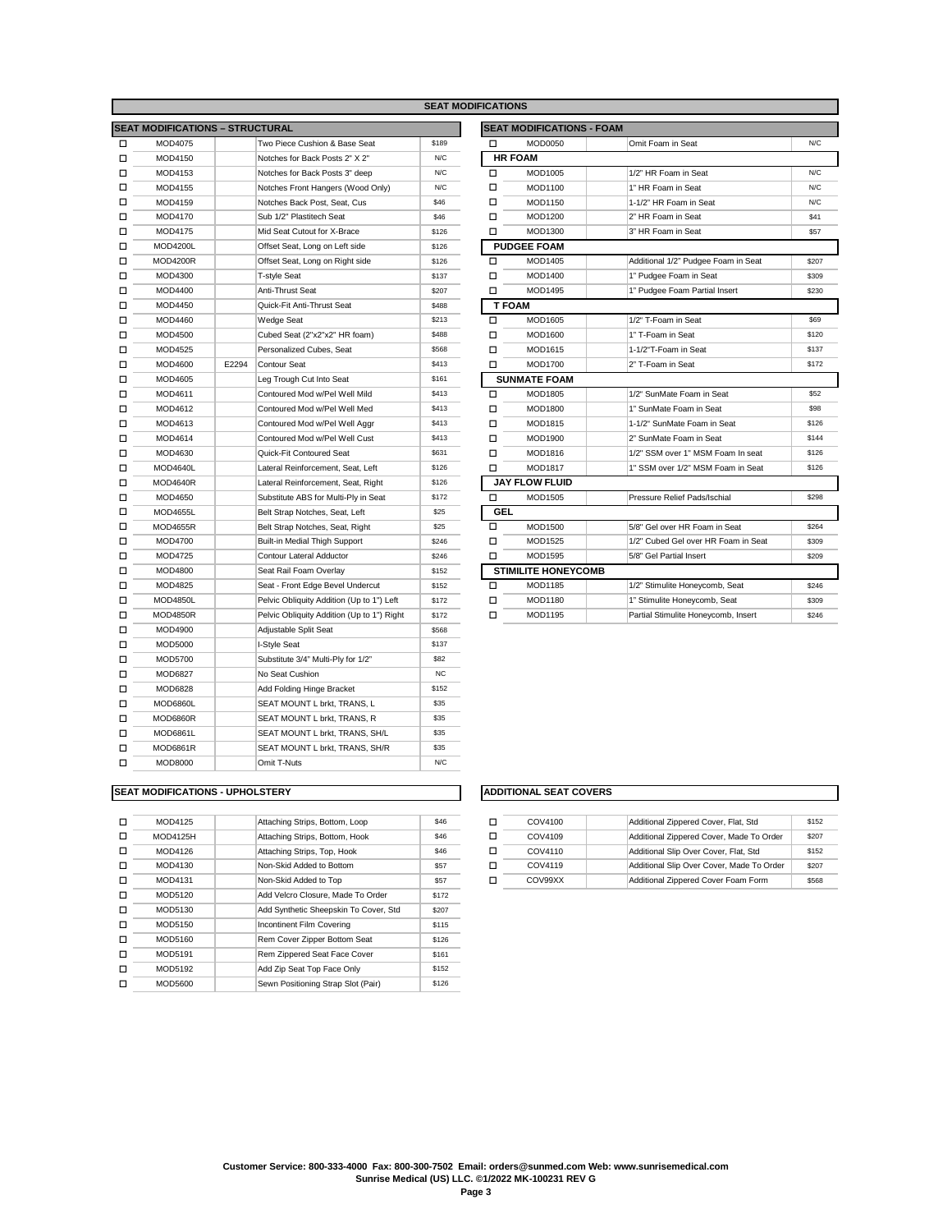|   |                                        |       |                                            |              | <b>SEAT MODIFICATIONS</b> |                                  |                            |
|---|----------------------------------------|-------|--------------------------------------------|--------------|---------------------------|----------------------------------|----------------------------|
|   | <b>SEAT MODIFICATIONS - STRUCTURAL</b> |       |                                            |              |                           | <b>SEAT MODIFICATIONS - FOAM</b> |                            |
| □ | MOD4075                                |       | Two Piece Cushion & Base Seat              | \$189        | □                         | MOD0050                          | Omit Foam in Seat          |
| □ | MOD4150                                |       | Notches for Back Posts 2" X 2"             | N/C          |                           | <b>HR FOAM</b>                   |                            |
| □ | MOD4153                                |       | Notches for Back Posts 3" deep             | N/C          | □                         | MOD1005                          | 1/2" HR Foam in Seat       |
| □ | MOD4155                                |       | Notches Front Hangers (Wood Only)          | N/C          | П                         | MOD1100                          | 1" HR Foam in Seat         |
| □ | MOD4159                                |       | Notches Back Post, Seat, Cus               | \$46         | □                         | MOD1150                          | 1-1/2" HR Foam in Seat     |
| □ | MOD4170                                |       | Sub 1/2" Plastitech Seat                   | \$46         | П                         | MOD1200                          | 2" HR Foam in Seat         |
| □ | MOD4175                                |       | Mid Seat Cutout for X-Brace                | \$126        | □                         | MOD1300                          | 3" HR Foam in Seat         |
| □ | <b>MOD4200L</b>                        |       | Offset Seat, Long on Left side             | \$126        |                           | <b>PUDGEE FOAM</b>               |                            |
| □ | <b>MOD4200R</b>                        |       | Offset Seat, Long on Right side            | \$126        | □                         | MOD1405                          | Additional 1/2" Pudgee Fo  |
| □ | MOD4300                                |       | T-style Seat                               | \$137        | □                         | MOD1400                          | 1" Pudgee Foam in Seat     |
| □ | <b>MOD4400</b>                         |       | Anti-Thrust Seat                           | \$207        | $\Box$                    | MOD1495                          | 1" Pudgee Foam Partial In  |
| □ | MOD4450                                |       | Quick-Fit Anti-Thrust Seat                 | \$488        |                           | <b>T FOAM</b>                    |                            |
| □ | MOD4460                                |       | Wedge Seat                                 | \$213        | □                         | MOD1605                          | 1/2" T-Foam in Seat        |
| □ | MOD4500                                |       | Cubed Seat (2"x2"x2" HR foam)              | \$488        | $\Box$                    | MOD1600                          | 1" T-Foam in Seat          |
| □ | MOD4525                                |       | Personalized Cubes, Seat                   | \$568        | □                         | MOD1615                          | 1-1/2"T-Foam in Seat       |
| □ | MOD4600                                | E2294 | Contour Seat                               | \$413        | □                         | MOD1700                          | 2" T-Foam in Seat          |
| □ | MOD4605                                |       | Leg Trough Cut Into Seat                   | \$161        |                           | <b>SUNMATE FOAM</b>              |                            |
| □ | MOD4611                                |       | Contoured Mod w/Pel Well Mild              | \$413        | □                         | MOD1805                          | 1/2" SunMate Foam in Se    |
| □ | MOD4612                                |       | Contoured Mod w/Pel Well Med               | \$413        | П                         | MOD1800                          | 1" SunMate Foam in Seat    |
| □ | MOD4613                                |       | Contoured Mod w/Pel Well Aggr              | \$413        | □                         | MOD1815                          | 1-1/2" SunMate Foam in S   |
| □ | MOD4614                                |       | Contoured Mod w/Pel Well Cust              | \$413        | □                         | MOD1900                          | 2" SunMate Foam in Seat    |
| □ | MOD4630                                |       | Quick-Fit Contoured Seat                   | \$631        | □                         | MOD1816                          | 1/2" SSM over 1" MSM Fo    |
| □ | <b>MOD4640L</b>                        |       | Lateral Reinforcement, Seat, Left          | \$126        | □                         | <b>MOD1817</b>                   | 1" SSM over 1/2" MSM Fo    |
| □ | <b>MOD4640R</b>                        |       | Lateral Reinforcement, Seat, Right         | \$126        |                           | <b>JAY FLOW FLUID</b>            |                            |
| □ | MOD4650                                |       | Substitute ABS for Multi-Ply in Seat       | <b>\$172</b> | □                         | MOD1505                          | Pressure Relief Pads/Isch  |
| □ | <b>MOD4655L</b>                        |       | Belt Strap Notches, Seat, Left             | \$25         | GEL                       |                                  |                            |
| □ | <b>MOD4655R</b>                        |       | Belt Strap Notches, Seat, Right            | \$25         | □                         | MOD1500                          | 5/8" Gel over HR Foam in   |
| □ | MOD4700                                |       | Built-in Medial Thigh Support              | \$246        | □                         | MOD1525                          | 1/2" Cubed Gel over HR F   |
| □ | <b>MOD4725</b>                         |       | Contour Lateral Adductor                   | \$246        | П                         | MOD1595                          | 5/8" Gel Partial Insert    |
| □ | MOD4800                                |       | Seat Rail Foam Overlay                     | \$152        |                           | <b>STIMILITE HONEYCOMB</b>       |                            |
| □ | MOD4825                                |       | Seat - Front Edge Bevel Undercut           | \$152        | □                         | MOD1185                          | 1/2" Stimulite Honeycomb   |
| □ | <b>MOD4850L</b>                        |       | Pelvic Obliquity Addition (Up to 1") Left  | \$172        | □                         | MOD1180                          | 1" Stimulite Honeycomb,    |
| □ | <b>MOD4850R</b>                        |       | Pelvic Obliquity Addition (Up to 1") Right | \$172        | □                         | MOD1195                          | Partial Stimulite Honeycor |
| □ | MOD4900                                |       | Adjustable Split Seat                      | \$568        |                           |                                  |                            |
| □ | <b>MOD5000</b>                         |       | I-Style Seat                               | \$137        |                           |                                  |                            |
| □ | <b>MOD5700</b>                         |       | Substitute 3/4" Multi-Ply for 1/2"         | \$82         |                           |                                  |                            |
| □ | <b>MOD6827</b>                         |       | No Seat Cushion                            | <b>NC</b>    |                           |                                  |                            |
| □ | MOD6828                                |       | Add Folding Hinge Bracket                  | \$152        |                           |                                  |                            |
| □ | <b>MOD6860L</b>                        |       | SEAT MOUNT L brkt, TRANS, L                | \$35         |                           |                                  |                            |
| □ | <b>MOD6860R</b>                        |       | SEAT MOUNT L brkt, TRANS, R                | \$35         |                           |                                  |                            |
| □ | <b>MOD6861L</b>                        |       | SEAT MOUNT L brkt, TRANS, SH/L             | \$35         |                           |                                  |                            |
| □ | <b>MOD6861R</b>                        |       | SEAT MOUNT L brkt, TRANS, SH/R             | \$35         |                           |                                  |                            |
| □ | <b>MOD8000</b>                         |       | Omit T-Nuts                                | N/C          |                           |                                  |                            |
|   |                                        |       |                                            |              |                           |                                  |                            |

|                                  |       |                                            |              | <b>SEAT MODIFICATIONS</b> |                                  |                                     |       |
|----------------------------------|-------|--------------------------------------------|--------------|---------------------------|----------------------------------|-------------------------------------|-------|
| <b>DDIFICATIONS – STRUCTURAL</b> |       |                                            |              |                           | <b>SEAT MODIFICATIONS - FOAM</b> |                                     |       |
| MOD4075                          |       | Two Piece Cushion & Base Seat              | \$189        | □                         | MOD0050                          | Omit Foam in Seat                   | N/C   |
| MOD4150                          |       | Notches for Back Posts 2" X 2"             | N/C          |                           | <b>HR FOAM</b>                   |                                     |       |
| MOD4153                          |       | Notches for Back Posts 3" deep             | N/C          | □                         | MOD1005                          | 1/2" HR Foam in Seat                | N/C   |
| MOD4155                          |       | Notches Front Hangers (Wood Only)          | N/C          | □                         | MOD1100                          | 1" HR Foam in Seat                  | N/C   |
| MOD4159                          |       | Notches Back Post, Seat, Cus               | \$46         | □                         | MOD1150                          | 1-1/2" HR Foam in Seat              | N/C   |
| <b>MOD4170</b>                   |       | Sub 1/2" Plastitech Seat                   | \$46         | □                         | MOD1200                          | 2" HR Foam in Seat                  | \$41  |
| <b>MOD4175</b>                   |       | Mid Seat Cutout for X-Brace                | \$126        | □                         | MOD1300                          | 3" HR Foam in Seat                  | \$57  |
| <b>MOD4200L</b>                  |       | Offset Seat, Long on Left side             | \$126        |                           | <b>PUDGEE FOAM</b>               |                                     |       |
| <b>MOD4200R</b>                  |       | Offset Seat, Long on Right side            | \$126        | □                         | MOD1405                          | Additional 1/2" Pudgee Foam in Seat | \$207 |
| MOD4300                          |       | <b>T-style Seat</b>                        | <b>\$137</b> | □                         | <b>MOD1400</b>                   | 1" Pudgee Foam in Seat              | \$309 |
| MOD4400                          |       | Anti-Thrust Seat                           | \$207        | □                         | MOD1495                          | 1" Pudgee Foam Partial Insert       | \$230 |
| MOD4450                          |       | Quick-Fit Anti-Thrust Seat                 | \$488        | <b>T FOAM</b>             |                                  |                                     |       |
| MOD4460                          |       | <b>Wedge Seat</b>                          | <b>\$213</b> | □                         | MOD1605                          | 1/2" T-Foam in Seat                 | \$69  |
| MOD4500                          |       | Cubed Seat (2"x2"x2" HR foam)              | \$488        | □                         | MOD1600                          | 1" T-Foam in Seat                   | \$120 |
| MOD4525                          |       | Personalized Cubes, Seat                   | <b>\$568</b> | □                         | MOD1615                          | 1-1/2"T-Foam in Seat                | \$137 |
| MOD4600                          | E2294 | Contour Seat                               | <b>\$413</b> | □                         | MOD1700                          | 2" T-Foam in Seat                   | \$172 |
| MOD4605                          |       | Leg Trough Cut Into Seat                   | \$161        |                           | <b>SUNMATE FOAM</b>              |                                     |       |
| MOD4611                          |       | Contoured Mod w/Pel Well Mild              | <b>\$413</b> | □                         | <b>MOD1805</b>                   | 1/2" SunMate Foam in Seat           | \$52  |
| MOD4612                          |       | Contoured Mod w/Pel Well Med               | \$413        | □                         | <b>MOD1800</b>                   | 1" SunMate Foam in Seat             | \$98  |
| MOD4613                          |       | Contoured Mod w/Pel Well Aggr              | \$413        | □                         | <b>MOD1815</b>                   | 1-1/2" SunMate Foam in Seat         | \$126 |
| MOD4614                          |       | Contoured Mod w/Pel Well Cust              | \$413        | □                         | MOD1900                          | 2" SunMate Foam in Seat             | \$144 |
| MOD4630                          |       | Quick-Fit Contoured Seat                   | <b>\$631</b> | □                         | MOD1816                          | 1/2" SSM over 1" MSM Foam In seat   | \$126 |
| MOD4640L                         |       | Lateral Reinforcement, Seat, Left          | \$126        | □                         | <b>MOD1817</b>                   | 1" SSM over 1/2" MSM Foam in Seat   | \$126 |
| MOD4640R                         |       | Lateral Reinforcement, Seat, Right         | \$126        |                           | <b>JAY FLOW FLUID</b>            |                                     |       |
| MOD4650                          |       | Substitute ABS for Multi-Ply in Seat       | \$172        | о                         | <b>MOD1505</b>                   | Pressure Relief Pads/Ischial        | \$298 |
| MOD4655L                         |       | Belt Strap Notches, Seat, Left             | \$25         | GEL                       |                                  |                                     |       |
| MOD4655R                         |       | Belt Strap Notches, Seat, Right            | \$25         | □                         | MOD1500                          | 5/8" Gel over HR Foam in Seat       | \$264 |
| MOD4700                          |       | Built-in Medial Thigh Support              | \$246        | □                         | MOD1525                          | 1/2" Cubed Gel over HR Foam in Seat | \$309 |
| <b>MOD4725</b>                   |       | Contour Lateral Adductor                   | \$246        | □                         | MOD1595                          | 5/8" Gel Partial Insert             | \$209 |
| <b>MOD4800</b>                   |       | Seat Rail Foam Overlay                     | \$152        |                           | <b>STIMILITE HONEYCOMB</b>       |                                     |       |
| <b>MOD4825</b>                   |       | Seat - Front Edge Bevel Undercut           | \$152        | □                         | MOD1185                          | 1/2" Stimulite Honeycomb, Seat      | \$246 |
| MOD4850L                         |       | Pelvic Obliquity Addition (Up to 1") Left  | <b>\$172</b> | □                         | MOD1180                          | 1" Stimulite Honeycomb, Seat        | \$309 |
| <b>MOD4850R</b>                  |       | Pelvic Obliquity Addition (Up to 1") Right | \$172        | □                         | MOD1195                          | Partial Stimulite Honeycomb, Insert | \$246 |
|                                  |       |                                            |              |                           |                                  |                                     |       |

# **SEAT MODIFICATIONS - UPHOLSTERY ADDITIONAL SEAT COVERS**

| □ | MOD4125         | Attaching Strips, Bottom, Loop        | \$46         |   | COV4100 |
|---|-----------------|---------------------------------------|--------------|---|---------|
| □ | <b>MOD4125H</b> | Attaching Strips, Bottom, Hook        | \$46         | п | COV4109 |
| □ | MOD4126         | Attaching Strips, Top, Hook           | \$46         | п | COV4110 |
| □ | MOD4130         | Non-Skid Added to Bottom              | \$57         | п | COV4119 |
| □ | MOD4131         | Non-Skid Added to Top                 | \$57         |   | COV99XX |
| □ | MOD5120         | Add Velcro Closure, Made To Order     | \$172        |   |         |
| □ | MOD5130         | Add Synthetic Sheepskin To Cover, Std | \$207        |   |         |
| □ | MOD5150         | Incontinent Film Covering             | <b>\$115</b> |   |         |
| □ | MOD5160         | Rem Cover Zipper Bottom Seat          | \$126        |   |         |
| □ | MOD5191         | Rem Zippered Seat Face Cover          | <b>\$161</b> |   |         |
| □ | MOD5192         | Add Zip Seat Top Face Only            | \$152        |   |         |
| п | MOD5600         | Sewn Positioning Strap Slot (Pair)    | \$126        |   |         |
|   |                 |                                       |              |   |         |

| MOD4125  | Attaching Strips, Bottom, Loop | \$46 | COV4100 | Additional Zippered Cover, Flat, Std      | \$152 |
|----------|--------------------------------|------|---------|-------------------------------------------|-------|
| MOD4125H | Attaching Strips, Bottom, Hook | \$46 | COV4109 | Additional Zippered Cover, Made To Order  | \$207 |
| MOD4126  | Attaching Strips, Top, Hook    | \$46 | COV4110 | Additional Slip Over Cover, Flat, Std     | \$152 |
| MOD4130  | Non-Skid Added to Bottom       | \$57 | COV4119 | Additional Slip Over Cover, Made To Order | \$207 |
| MOD4131  | Non-Skid Added to Top          | \$57 | COV99XX | Additional Zippered Cover Foam Form       | \$568 |
|          |                                |      |         |                                           |       |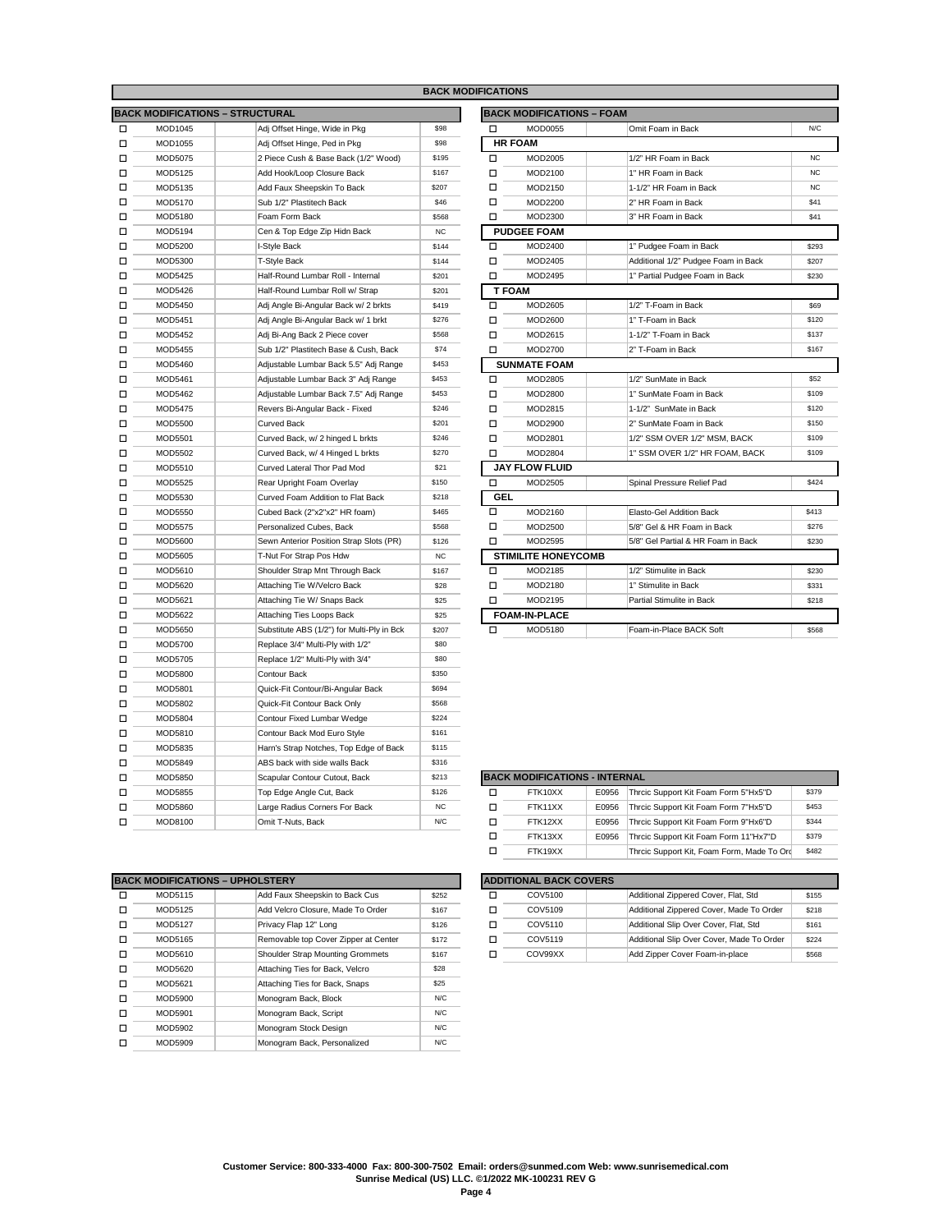|        |                                        |                                            |              | <b>BACK MODIFICATIONS</b> |                                       |       |                                      |
|--------|----------------------------------------|--------------------------------------------|--------------|---------------------------|---------------------------------------|-------|--------------------------------------|
|        | <b>BACK MODIFICATIONS - STRUCTURAL</b> |                                            |              |                           | <b>BACK MODIFICATIONS - FOAM</b>      |       |                                      |
| □      | MOD1045                                | Adj Offset Hinge, Wide in Pkg              | \$98         | □                         | <b>MOD0055</b>                        |       | Omit Foam in Back                    |
| □      | MOD1055                                | Adj Offset Hinge, Ped in Pkg               | \$98         |                           | <b>HR FOAM</b>                        |       |                                      |
| □      | MOD5075                                | 2 Piece Cush & Base Back (1/2" Wood)       | \$195        | □                         | MOD2005                               |       | 1/2" HR Foam in Back                 |
| □      | MOD5125                                | Add Hook/Loop Closure Back                 | \$167        | □                         | MOD2100                               |       | 1" HR Foam in Back                   |
| □      | MOD5135                                | Add Faux Sheepskin To Back                 | \$207        | □                         | MOD2150                               |       | 1-1/2" HR Foam in Back               |
| □      | <b>MOD5170</b>                         | Sub 1/2" Plastitech Back                   | \$46         | □                         | MOD2200                               |       | 2" HR Foam in Back                   |
| □      | MOD5180                                | Foam Form Back                             | \$568        | $\Box$                    | MOD2300                               |       | 3" HR Foam in Back                   |
| □      | MOD5194                                | Cen & Top Edge Zip Hidn Back               | <b>NC</b>    |                           | <b>PUDGEE FOAM</b>                    |       |                                      |
| □      | MOD5200                                | I-Style Back                               | <b>\$144</b> | □                         | MOD2400                               |       | 1" Pudgee Foam in Back               |
| □      | MOD5300                                | T-Style Back                               | <b>\$144</b> | □                         | MOD2405                               |       | Additional 1/2" Pudgee Foam in Back  |
| □      | MOD5425                                | Half-Round Lumbar Roll - Internal          | \$201        | П                         | MOD2495                               |       | 1" Partial Pudgee Foam in Back       |
| □      | <b>MOD5426</b>                         | Half-Round Lumbar Roll w/ Strap            | \$201        | <b>T FOAM</b>             |                                       |       |                                      |
| □      | MOD5450                                | Adj Angle Bi-Angular Back w/ 2 brkts       | \$419        | □                         | MOD2605                               |       | 1/2" T-Foam in Back                  |
| □      | <b>MOD5451</b>                         | Adj Angle Bi-Angular Back w/ 1 brkt        | <b>\$276</b> | □                         | MOD2600                               |       | 1" T-Foam in Back                    |
| □      | <b>MOD5452</b>                         | Adj Bi-Ang Back 2 Piece cover              | \$568        | П                         | MOD2615                               |       | 1-1/2" T-Foam in Back                |
| □      | MOD5455                                | Sub 1/2" Plastitech Base & Cush, Back      | \$74         | П                         | MOD2700                               |       | 2" T-Foam in Back                    |
| □      | MOD5460                                | Adjustable Lumbar Back 5.5" Adj Range      | \$453        |                           | <b>SUNMATE FOAM</b>                   |       |                                      |
| □      | MOD5461                                | Adjustable Lumbar Back 3" Adj Range        | \$453        | □                         | MOD2805                               |       | 1/2" SunMate in Back                 |
| □      | MOD5462                                | Adjustable Lumbar Back 7.5" Adj Range      | \$453        | П                         | MOD2800                               |       | 1" SunMate Foam in Back              |
| $\Box$ | <b>MOD5475</b>                         | Revers Bi-Angular Back - Fixed             | \$246        | $\Box$                    | MOD2815                               |       | 1-1/2" SunMate in Back               |
| □      | <b>MOD5500</b>                         | <b>Curved Back</b>                         | \$201        | о                         | MOD2900                               |       | 2" SunMate Foam in Back              |
| □      | <b>MOD5501</b>                         | Curved Back, w/ 2 hinged L brkts           | \$246        | □                         | MOD2801                               |       | 1/2" SSM OVER 1/2" MSM, BACK         |
| □      | MOD5502                                | Curved Back, w/ 4 Hinged L brkts           | \$270        | $\Box$                    | <b>MOD2804</b>                        |       | 1" SSM OVER 1/2" HR FOAM, BACK       |
| □      | MOD5510                                | Curved Lateral Thor Pad Mod                | \$21         |                           | <b>JAY FLOW FLUID</b>                 |       |                                      |
| □      | MOD5525                                | Rear Upright Foam Overlay                  | \$150        | □                         | MOD2505                               |       | Spinal Pressure Relief Pad           |
| □      | MOD5530                                | Curved Foam Addition to Flat Back          | \$218        | <b>GEL</b>                |                                       |       |                                      |
| □      | MOD5550                                | Cubed Back (2"x2"x2" HR foam)              | \$465        | □                         | MOD2160                               |       | Elasto-Gel Addition Back             |
| □      | <b>MOD5575</b>                         | Personalized Cubes, Back                   | \$568        | □                         | MOD2500                               |       | 5/8" Gel & HR Foam in Back           |
| □      | <b>MOD5600</b>                         | Sewn Anterior Position Strap Slots (PR)    | \$126        | □                         | MOD2595                               |       | 5/8" Gel Partial & HR Foam in Back   |
|        | <b>MOD5605</b>                         |                                            | <b>NC</b>    |                           |                                       |       |                                      |
| □<br>□ | MOD5610                                | T-Nut For Strap Pos Hdw                    | <b>\$167</b> | □                         | <b>STIMILITE HONEYCOMB</b><br>MOD2185 |       | 1/2" Stimulite in Back               |
|        |                                        | Shoulder Strap Mnt Through Back            | \$28         |                           |                                       |       |                                      |
| □      | MOD5620                                | Attaching Tie W/Velcro Back                |              | П                         | MOD2180                               |       | 1" Stimulite in Back                 |
| □      | MOD5621                                | Attaching Tie W/ Snaps Back                | \$25         | □                         | MOD2195                               |       | Partial Stimulite in Back            |
| □      | MOD5622                                | Attaching Ties Loops Back                  | \$25         |                           | <b>FOAM-IN-PLACE</b>                  |       |                                      |
| □      | MOD5650                                | Substitute ABS (1/2") for Multi-Ply in Bck | \$207        | □                         | MOD5180                               |       | Foam-in-Place BACK Soft              |
| □      | MOD5700                                | Replace 3/4" Multi-Ply with 1/2"           | \$80         |                           |                                       |       |                                      |
| □      | <b>MOD5705</b>                         | Replace 1/2" Multi-Ply with 3/4"           | \$80         |                           |                                       |       |                                      |
| □      | MOD5800                                | Contour Back                               | \$350        |                           |                                       |       |                                      |
| □      | <b>MOD5801</b>                         | Quick-Fit Contour/Bi-Angular Back          | \$694        |                           |                                       |       |                                      |
| □      | MOD5802                                | Quick-Fit Contour Back Only                | \$568        |                           |                                       |       |                                      |
| □      | <b>MOD5804</b>                         | Contour Fixed Lumbar Wedge                 | <b>\$224</b> |                           |                                       |       |                                      |
| □      | MOD5810                                | Contour Back Mod Euro Style                | \$161        |                           |                                       |       |                                      |
| □      | MOD5835                                | Harn's Strap Notches, Top Edge of Back     | \$115        |                           |                                       |       |                                      |
| □      | MOD5849                                | ABS back with side walls Back              | \$316        |                           |                                       |       |                                      |
| □      | MOD5850                                | Scapular Contour Cutout, Back              | \$213        |                           | <b>BACK MODIFICATIONS - INTERNAL</b>  |       |                                      |
| □      | <b>MOD5855</b>                         | Top Edge Angle Cut, Back                   | \$126        | □                         | FTK10XX                               | E0956 | Thrcic Support Kit Foam Form 5"Hx5"D |
| □      | MOD5860                                | Large Radius Corners For Back              | <b>NC</b>    | □                         | FTK11XX                               | E0956 | Thrcic Support Kit Foam Form 7"Hx5"D |
| □      | MOD8100                                | Omit T-Nuts, Back                          | N/C          | □                         | FTK12XX                               | E0956 | Thrcic Support Kit Foam Form 9"Hx6"D |

|         |                                            |              | <b>BACK MODIFICATIONS</b> |                                  |                                     |           |
|---------|--------------------------------------------|--------------|---------------------------|----------------------------------|-------------------------------------|-----------|
|         | <b>DDIFICATIONS - STRUCTURAL</b>           |              |                           | <b>BACK MODIFICATIONS - FOAM</b> |                                     |           |
| MOD1045 | Adj Offset Hinge, Wide in Pkg              | \$98         | □                         | MOD0055                          | Omit Foam in Back                   | N/C       |
| MOD1055 | Adj Offset Hinge, Ped in Pkg               | \$98         |                           | <b>HR FOAM</b>                   |                                     |           |
| MOD5075 | 2 Piece Cush & Base Back (1/2" Wood)       | \$195        | □                         | MOD2005                          | 1/2" HR Foam in Back                | <b>NC</b> |
| MOD5125 | Add Hook/Loop Closure Back                 | \$167        | □                         | MOD2100                          | 1" HR Foam in Back                  | <b>NC</b> |
| MOD5135 | Add Faux Sheepskin To Back                 | \$207        | □                         | MOD2150                          | 1-1/2" HR Foam in Back              | <b>NC</b> |
| MOD5170 | Sub 1/2" Plastitech Back                   | \$46         | $\Box$                    | MOD2200                          | 2" HR Foam in Back                  | \$41      |
| MOD5180 | Foam Form Back                             | \$568        | п                         | MOD2300                          | 3" HR Foam in Back                  | \$41      |
| MOD5194 | Cen & Top Edge Zip Hidn Back               | <b>NC</b>    |                           | <b>PUDGEE FOAM</b>               |                                     |           |
| MOD5200 | I-Style Back                               | <b>\$144</b> | □                         | MOD2400                          | 1" Pudgee Foam in Back              | \$293     |
| MOD5300 | T-Style Back                               | \$144        | □                         | MOD2405                          | Additional 1/2" Pudgee Foam in Back | \$207     |
| MOD5425 | Half-Round Lumbar Roll - Internal          | \$201        | п                         | MOD2495                          | 1" Partial Pudgee Foam in Back      | \$230     |
| MOD5426 | Half-Round Lumbar Roll w/ Strap            | \$201        | <b>T FOAM</b>             |                                  |                                     |           |
| MOD5450 | Adj Angle Bi-Angular Back w/ 2 brkts       | \$419        | □                         | MOD2605                          | 1/2" T-Foam in Back                 | \$69      |
| MOD5451 | Adj Angle Bi-Angular Back w/ 1 brkt        | \$276        | □                         | MOD2600                          | 1" T-Foam in Back                   | \$120     |
| MOD5452 | Adj Bi-Ang Back 2 Piece cover              | \$568        | □                         | MOD2615                          | 1-1/2" T-Foam in Back               | \$137     |
| MOD5455 | Sub 1/2" Plastitech Base & Cush, Back      | \$74         | □                         | MOD2700                          | 2" T-Foam in Back                   | \$167     |
| MOD5460 | Adjustable Lumbar Back 5.5" Adj Range      | <b>\$453</b> |                           | <b>SUNMATE FOAM</b>              |                                     |           |
| MOD5461 | Adjustable Lumbar Back 3" Adj Range        | \$453        | □                         | MOD2805                          | 1/2" SunMate in Back                | \$52      |
| MOD5462 | Adjustable Lumbar Back 7.5" Adj Range      | <b>\$453</b> | □                         | MOD2800                          | 1" SunMate Foam in Back             | \$109     |
| MOD5475 | Revers Bi-Angular Back - Fixed             | \$246        | □                         | MOD2815                          | 1-1/2" SunMate in Back              | \$120     |
| MOD5500 | Curved Back                                | <b>\$201</b> | □                         | MOD2900                          | 2" SunMate Foam in Back             | \$150     |
| MOD5501 | Curved Back, w/ 2 hinged L brkts           | \$246        | о                         | MOD2801                          | 1/2" SSM OVER 1/2" MSM, BACK        | \$109     |
| MOD5502 | Curved Back, w/ 4 Hinged L brkts           | <b>\$270</b> | п                         | MOD2804                          | 1" SSM OVER 1/2" HR FOAM, BACK      | \$109     |
| MOD5510 | Curved Lateral Thor Pad Mod                | \$21         |                           | <b>JAY FLOW FLUID</b>            |                                     |           |
| MOD5525 | Rear Upright Foam Overlay                  | \$150        | □                         | MOD2505                          | Spinal Pressure Relief Pad          | \$424     |
| MOD5530 | Curved Foam Addition to Flat Back          | \$218        | GEL                       |                                  |                                     |           |
| MOD5550 | Cubed Back (2"x2"x2" HR foam)              | \$465        | □                         | MOD2160                          | Elasto-Gel Addition Back            | \$413     |
| MOD5575 | Personalized Cubes, Back                   | \$568        | □                         | MOD2500                          | 5/8" Gel & HR Foam in Back          | \$276     |
| MOD5600 | Sewn Anterior Position Strap Slots (PR)    | <b>\$126</b> | П                         | MOD2595                          | 5/8" Gel Partial & HR Foam in Back  | \$230     |
| MOD5605 | T-Nut For Strap Pos Hdw                    | <b>NC</b>    |                           | <b>STIMILITE HONEYCOMB</b>       |                                     |           |
| MOD5610 | Shoulder Strap Mnt Through Back            | \$167        | □                         | MOD2185                          | 1/2" Stimulite in Back              | \$230     |
| MOD5620 | Attaching Tie W/Velcro Back                | \$28         | $\Box$                    | MOD2180                          | 1" Stimulite in Back                | \$331     |
| MOD5621 | Attaching Tie W/ Snaps Back                | \$25         | □                         | MOD2195                          | Partial Stimulite in Back           | \$218     |
| MOD5622 | Attaching Ties Loops Back                  | \$25         |                           | <b>FOAM-IN-PLACE</b>             |                                     |           |
| MOD5650 | Substitute ABS (1/2") for Multi-Ply in Bck | \$207        | □                         | MOD5180                          | Foam-in-Place BACK Soft             | \$568     |

| טדששטוו | , שט טשער זיינו ו טוער וואס טש | ---          |                                      |         |       |                                            |       |  |  |
|---------|--------------------------------|--------------|--------------------------------------|---------|-------|--------------------------------------------|-------|--|--|
| MOD5850 | Scapular Contour Cutout, Back  | <b>\$213</b> | <b>BACK MODIFICATIONS - INTERNAL</b> |         |       |                                            |       |  |  |
| MOD5855 | Top Edge Angle Cut, Back       | \$126        |                                      | FTK10XX | E0956 | Thrcic Support Kit Foam Form 5"Hx5"D       | \$379 |  |  |
| MOD5860 | Large Radius Corners For Back  | <b>NC</b>    |                                      | FTK11XX | E0956 | Thrcic Support Kit Foam Form 7"Hx5"D       | \$453 |  |  |
| MOD8100 | Omit T-Nuts, Back              | N/C          |                                      | FTK12XX | E0956 | Thrcic Support Kit Foam Form 9"Hx6"D       | \$344 |  |  |
|         |                                |              |                                      | FTK13XX | E0956 | Thrcic Support Kit Foam Form 11"Hx7"D      | \$379 |  |  |
|         |                                |              |                                      | FTK19XX |       | Thrcic Support Kit, Foam Form, Made To Ord | \$482 |  |  |
|         |                                |              |                                      |         |       |                                            |       |  |  |

| <b>DDIFICATIONS – UPHOLSTERY</b> |  |                                      |              |  | <b>ADDITIONAL BACK COVERS</b> |                                           |       |
|----------------------------------|--|--------------------------------------|--------------|--|-------------------------------|-------------------------------------------|-------|
| MOD5115                          |  | Add Faux Sheepskin to Back Cus       | <b>\$252</b> |  | COV5100                       | Additional Zippered Cover, Flat, Std      | \$155 |
| MOD5125                          |  | Add Velcro Closure, Made To Order    | <b>\$167</b> |  | COV5109                       | Additional Zippered Cover, Made To Order  | \$218 |
| MOD5127                          |  | Privacy Flap 12" Long                | \$126        |  | COV5110                       | Additional Slip Over Cover, Flat, Std     | \$161 |
| MOD5165                          |  | Removable top Cover Zipper at Center | <b>\$172</b> |  | COV5119                       | Additional Slip Over Cover, Made To Order | \$224 |
| MOD5610                          |  | Shoulder Strap Mounting Grommets     | <b>\$167</b> |  | COV99XX                       | Add Zipper Cover Foam-in-place            | \$568 |

|   | <b>BACK MODIFICATIONS - UPHOLSTERY</b> |                                      |              |   | <b>ADDITIONAL BACK COVERS</b> |  |
|---|----------------------------------------|--------------------------------------|--------------|---|-------------------------------|--|
| п | MOD5115                                | Add Faux Sheepskin to Back Cus       | \$252        | г | COV5100                       |  |
| п | MOD5125                                | Add Velcro Closure, Made To Order    | <b>\$167</b> | □ | COV5109                       |  |
| п | <b>MOD5127</b>                         | Privacy Flap 12" Long                | \$126        | □ | COV5110                       |  |
| п | MOD5165                                | Removable top Cover Zipper at Center | \$172        | □ | COV5119                       |  |
| п | MOD5610                                | Shoulder Strap Mounting Grommets     | <b>\$167</b> | ⊏ | COV99XX                       |  |
| п | MOD5620                                | Attaching Ties for Back, Velcro      | \$28         |   |                               |  |
| п | MOD5621                                | Attaching Ties for Back, Snaps       | \$25         |   |                               |  |
| п | MOD5900                                | Monogram Back, Block                 | N/C          |   |                               |  |
| п | MOD5901                                | Monogram Back, Script                | N/C          |   |                               |  |
| п | MOD5902                                | Monogram Stock Design                | N/C          |   |                               |  |
| п | MOD5909                                | Monogram Back, Personalized          | N/C          |   |                               |  |
|   |                                        |                                      |              |   |                               |  |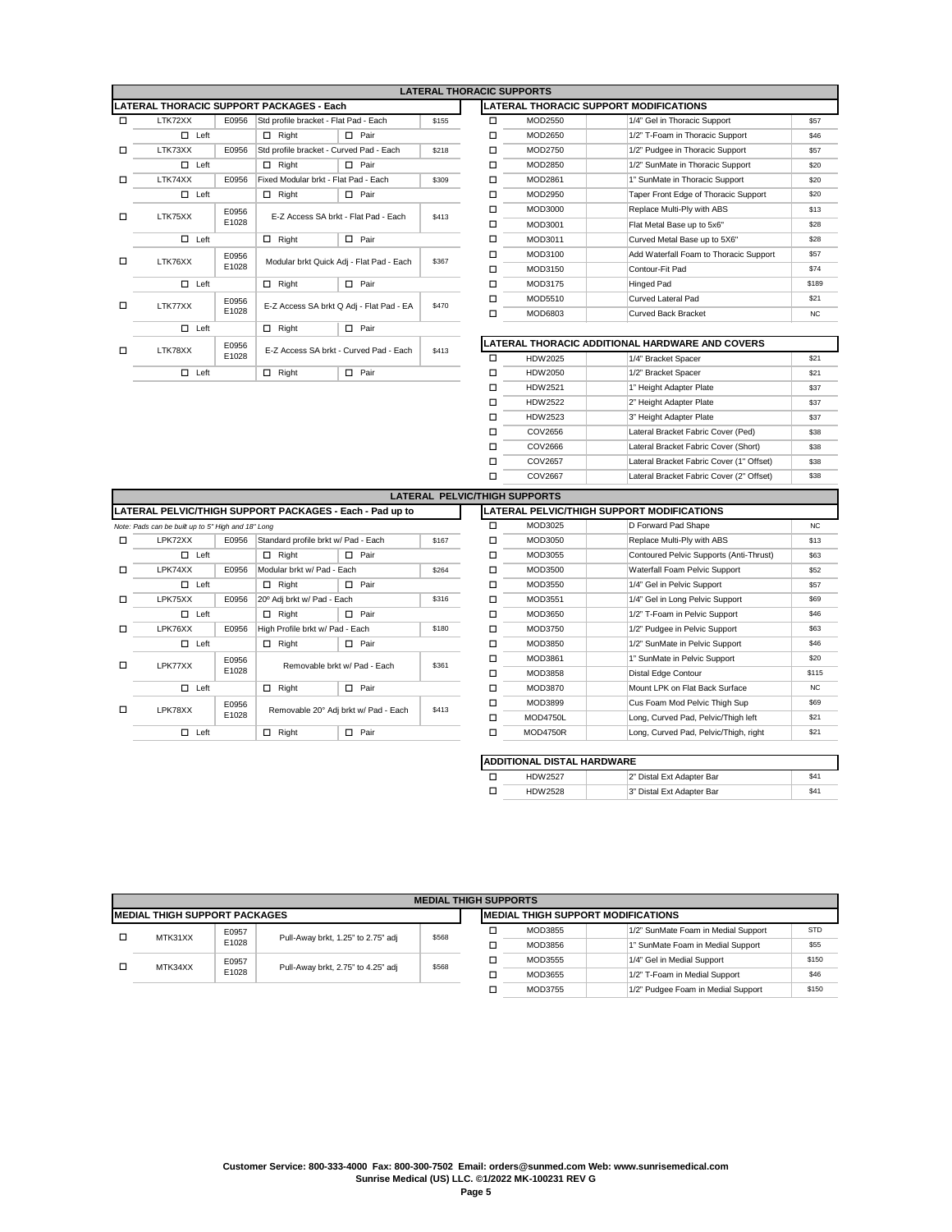| LTK72XX     | E0956                                    |              |             | \$155                                                                                                                                                                                                                                                                                                                                          | П                                                     | MOD2550 | 1/4" Gel in Thoracic Support                                               |
|-------------|------------------------------------------|--------------|-------------|------------------------------------------------------------------------------------------------------------------------------------------------------------------------------------------------------------------------------------------------------------------------------------------------------------------------------------------------|-------------------------------------------------------|---------|----------------------------------------------------------------------------|
| $\Box$ Left |                                          | $\Box$ Right | $\Box$ Pair |                                                                                                                                                                                                                                                                                                                                                | о                                                     | MOD2650 | 1/2" T-Foam in Thoracic Sup                                                |
| LTK73XX     | E0956                                    |              |             | <b>\$218</b>                                                                                                                                                                                                                                                                                                                                   | □                                                     | MOD2750 | 1/2" Pudgee in Thoracic Sup                                                |
| $\Box$ Left |                                          | $\Box$ Right | $\Pi$ Pair  |                                                                                                                                                                                                                                                                                                                                                | □                                                     | MOD2850 | 1/2" SunMate in Thoracic Su                                                |
| LTK74XX     | E0956                                    |              |             | \$309                                                                                                                                                                                                                                                                                                                                          | □                                                     | MOD2861 | 1" SunMate in Thoracic Sup                                                 |
| $\Box$ Left |                                          | $\Box$ Right | $\Box$ Pair |                                                                                                                                                                                                                                                                                                                                                | □                                                     | MOD2950 | Taper Front Edge of Thoraci                                                |
|             | E0956                                    |              |             |                                                                                                                                                                                                                                                                                                                                                | □                                                     | MOD3000 | Replace Multi-Ply with ABS                                                 |
|             | E1028                                    |              |             |                                                                                                                                                                                                                                                                                                                                                | □                                                     | MOD3001 | Flat Metal Base up to 5x6"                                                 |
| $\Box$ Left |                                          | $\Box$ Right | $\Box$ Pair |                                                                                                                                                                                                                                                                                                                                                | □                                                     | MOD3011 | Curved Metal Base up to 5X                                                 |
|             | E0956                                    |              |             |                                                                                                                                                                                                                                                                                                                                                | □                                                     | MOD3100 | Add Waterfall Foam to Thora                                                |
|             | E1028                                    |              |             |                                                                                                                                                                                                                                                                                                                                                | □                                                     | MOD3150 | Contour-Fit Pad                                                            |
| $\Box$ Left |                                          | $\Box$ Right | $\Box$ Pair |                                                                                                                                                                                                                                                                                                                                                | □                                                     | MOD3175 | Hinged Pad                                                                 |
|             | E0956                                    |              |             |                                                                                                                                                                                                                                                                                                                                                | □                                                     | MOD5510 | Curved Lateral Pad                                                         |
|             | E1028                                    |              |             |                                                                                                                                                                                                                                                                                                                                                | □                                                     | MOD6803 | <b>Curved Back Bracket</b>                                                 |
| Left<br>п.  |                                          | Right<br>п.  | $\Box$ Pair |                                                                                                                                                                                                                                                                                                                                                |                                                       |         |                                                                            |
|             | E0956                                    |              |             |                                                                                                                                                                                                                                                                                                                                                |                                                       |         | LATERAL THORACIC ADDITIONAL HARDWARE AND C                                 |
|             | E1028                                    |              |             |                                                                                                                                                                                                                                                                                                                                                | □                                                     | HDW2025 | 1/4" Bracket Spacer                                                        |
| Left        |                                          | $\Box$ Right | $\Box$ Pair |                                                                                                                                                                                                                                                                                                                                                | □                                                     | HDW2050 | 1/2" Bracket Spacer                                                        |
|             | LTK75XX<br>LTK76XX<br>LTK77XX<br>LTK78XX |              |             | LATERAL THORACIC SUPPORT PACKAGES - Each<br>Std profile bracket - Flat Pad - Each<br>Std profile bracket - Curved Pad - Each<br>Fixed Modular brkt - Flat Pad - Each<br>E-Z Access SA brkt - Flat Pad - Each<br>Modular brkt Quick Adj - Flat Pad - Each<br>E-Z Access SA brkt Q Adj - Flat Pad - EA<br>E-Z Access SA brkt - Curved Pad - Each | <b>\$413</b><br><b>\$367</b><br>\$470<br><b>\$413</b> |         | <b>LATERAL THORACIC SUPPORTS</b><br>LATERAL THORACIC SUPPORT MODIFICATIONS |

|                                         | <b>LATERAL THORACIC SUPPORTS</b> |                                                |                                          |              |         |                                        |                              |                                        |           |  |  |  |  |  |
|-----------------------------------------|----------------------------------|------------------------------------------------|------------------------------------------|--------------|---------|----------------------------------------|------------------------------|----------------------------------------|-----------|--|--|--|--|--|
| <b>THORACIC SUPPORT PACKAGES - Each</b> |                                  |                                                |                                          |              |         | LATERAL THORACIC SUPPORT MODIFICATIONS |                              |                                        |           |  |  |  |  |  |
| LTK72XX                                 | E0956                            | Std profile bracket - Flat Pad - Each<br>\$155 |                                          | □            | MOD2550 |                                        | 1/4" Gel in Thoracic Support | \$57                                   |           |  |  |  |  |  |
| $\Box$ Left                             |                                  | $\Box$ Right                                   | п.<br>Pair                               |              | □       | MOD2650                                |                              | 1/2" T-Foam in Thoracic Support        | \$46      |  |  |  |  |  |
| LTK73XX                                 | E0956                            | Std profile bracket - Curved Pad - Each        |                                          | <b>\$218</b> | □       | MOD2750                                |                              | 1/2" Pudgee in Thoracic Support        | \$57      |  |  |  |  |  |
| $\Box$ Left                             |                                  | $\Box$ Right                                   | $\Box$ Pair                              |              | □       | MOD2850                                |                              | 1/2" SunMate in Thoracic Support       | \$20      |  |  |  |  |  |
| LTK74XX                                 | E0956                            | Fixed Modular brkt - Flat Pad - Each           |                                          | \$309        | □       | MOD2861                                |                              | 1" SunMate in Thoracic Support         | \$20      |  |  |  |  |  |
| $\Box$ Left                             |                                  | $\Box$ Right                                   | Pair<br>$\Box$                           |              | □       | MOD2950                                |                              | Taper Front Edge of Thoracic Support   | \$20      |  |  |  |  |  |
| LTK75XX                                 | E0956                            | E-Z Access SA brkt - Flat Pad - Each           |                                          | \$413        | □       | MOD3000                                |                              | Replace Multi-Ply with ABS             | \$13      |  |  |  |  |  |
|                                         | E1028                            |                                                |                                          |              | □       | MOD3001                                |                              | Flat Metal Base up to 5x6"             | \$28      |  |  |  |  |  |
| $\Box$ Left                             |                                  | Right                                          | Pair<br>$\Box$                           |              | □       | MOD3011                                |                              | Curved Metal Base up to 5X6"           | \$28      |  |  |  |  |  |
| LTK76XX                                 | E0956                            |                                                | Modular brkt Quick Adj - Flat Pad - Each | <b>\$367</b> | □       | MOD3100                                |                              | Add Waterfall Foam to Thoracic Support | \$57      |  |  |  |  |  |
|                                         | E1028                            |                                                |                                          |              | □       | MOD3150                                | Contour-Fit Pad              |                                        | \$74      |  |  |  |  |  |
| $\Box$ Left                             |                                  | Right<br>$\Box$                                | $\Box$<br>Pair                           |              | □       | MOD3175                                | Hinged Pad                   |                                        | \$189     |  |  |  |  |  |
| LTK77XX                                 | E0956                            |                                                | E-Z Access SA brkt Q Adj - Flat Pad - EA | \$470        | □       | MOD5510                                | Curved Lateral Pad           |                                        | \$21      |  |  |  |  |  |
|                                         | E1028                            |                                                |                                          |              | п       | MOD6803                                |                              | <b>Curved Back Bracket</b>             | <b>NC</b> |  |  |  |  |  |

| LATERAL THORACIC ADDITIONAL HARDWARE AND COVERS |                                          |      |  |  |  |  |  |  |  |  |
|-------------------------------------------------|------------------------------------------|------|--|--|--|--|--|--|--|--|
| HDW2025                                         | 1/4" Bracket Spacer                      | \$21 |  |  |  |  |  |  |  |  |
| HDW2050                                         | 1/2" Bracket Spacer                      | \$21 |  |  |  |  |  |  |  |  |
| HDW2521                                         | 1" Height Adapter Plate                  | \$37 |  |  |  |  |  |  |  |  |
| HDW2522                                         | 2" Height Adapter Plate                  | \$37 |  |  |  |  |  |  |  |  |
| HDW2523                                         | 3" Height Adapter Plate                  | \$37 |  |  |  |  |  |  |  |  |
| COV2656                                         | Lateral Bracket Fabric Cover (Ped)       | \$38 |  |  |  |  |  |  |  |  |
| COV2666                                         | Lateral Bracket Fabric Cover (Short)     | \$38 |  |  |  |  |  |  |  |  |
| COV2657                                         | Lateral Bracket Fabric Cover (1" Offset) | \$38 |  |  |  |  |  |  |  |  |
| COV2667                                         | Lateral Bracket Fabric Cover (2" Offset) | \$38 |  |  |  |  |  |  |  |  |
|                                                 |                                          |      |  |  |  |  |  |  |  |  |

|   |                                                    |       |                                                          |                                      |              |   | LATERAL PELVIC/THIGH SUPPORTS |                                            |
|---|----------------------------------------------------|-------|----------------------------------------------------------|--------------------------------------|--------------|---|-------------------------------|--------------------------------------------|
|   |                                                    |       | LATERAL PELVIC/THIGH SUPPORT PACKAGES - Each - Pad up to |                                      |              |   |                               | LATERAL PELVIC/THIGH SUPPORT MODIFICATIONS |
|   | Note: Pads can be built up to 5" High and 18" Long |       |                                                          |                                      |              | п | MOD3025                       | D Forward Pad Shape                        |
| п | LPK72XX                                            | E0956 | Standard profile brkt w/ Pad - Each                      |                                      | <b>\$167</b> | □ | MOD3050                       | Replace Multi-Ply with ABS                 |
|   | $\Box$ Left                                        |       | Right                                                    | Pair                                 |              | □ | MOD3055                       | Contoured Pelvic Supports (An              |
|   | LPK74XX                                            | E0956 | Modular brkt w/ Pad - Each                               |                                      | \$264        | □ | MOD3500                       | Waterfall Foam Pelvic Support              |
|   | $\Box$ Left                                        |       | $\Box$ Right                                             | Pair                                 |              | □ | MOD3550                       | 1/4" Gel in Pelvic Support                 |
|   | LPK75XX                                            | E0956 | 20° Adj brkt w/ Pad - Each                               |                                      | <b>\$316</b> | □ | MOD3551                       | 1/4" Gel in Long Pelvic Support            |
|   | $\Box$ Left                                        |       | Right                                                    | Pair<br>п.                           |              | □ | MOD3650                       | 1/2" T-Foam in Pelvic Support              |
|   | LPK76XX                                            | E0956 | High Profile brkt w/ Pad - Each                          |                                      | \$180        | □ | MOD3750                       | 1/2" Pudgee in Pelvic Support              |
|   | $\Box$ Left                                        |       | $\Box$ Right                                             | Pair                                 |              | □ | MOD3850                       | 1/2" SunMate in Pelvic Support             |
| п | LPK77XX                                            | E0956 |                                                          | Removable brkt w/ Pad - Each         | \$361        | п | MOD3861                       | 1" SunMate in Pelvic Support               |
|   |                                                    | E1028 |                                                          |                                      |              | п | MOD3858                       | Distal Edge Contour                        |
|   | $\Box$ Left                                        |       | Right                                                    | Pair                                 |              | □ | MOD3870                       | Mount LPK on Flat Back Surfac              |
|   | LPK78XX                                            | E0956 |                                                          | Removable 20° Adj brkt w/ Pad - Each | <b>\$413</b> | □ | MOD3899                       | Cus Foam Mod Pelvic Thigh Su               |
|   |                                                    | E1028 |                                                          |                                      |              | □ | <b>MOD4750L</b>               | Long, Curved Pad, Pelvic/Thigh             |
|   | Left<br>п                                          |       | Right<br>п.                                              | п<br>Pair                            |              | п | <b>MOD4750R</b>               | Long, Curved Pad, Pelvic/Thigh             |

|                                        | LATERAL PELVIC/THIGH SUPPORTS |                                                    |                                      |              |   |                 |                                            |           |  |  |  |  |  |  |  |  |  |  |  |
|----------------------------------------|-------------------------------|----------------------------------------------------|--------------------------------------|--------------|---|-----------------|--------------------------------------------|-----------|--|--|--|--|--|--|--|--|--|--|--|
|                                        |                               | . PELVIC/THIGH SUPPORT PACKAGES - Each - Pad up to |                                      |              |   |                 | LATERAL PELVIC/THIGH SUPPORT MODIFICATIONS |           |  |  |  |  |  |  |  |  |  |  |  |
| an be built up to 5" High and 18" Long |                               |                                                    |                                      |              | □ | MOD3025         | D Forward Pad Shape                        | NC.       |  |  |  |  |  |  |  |  |  |  |  |
| LPK72XX                                | E0956                         | Standard profile brkt w/ Pad - Each                |                                      | \$167        | □ | MOD3050         | Replace Multi-Ply with ABS                 | \$13      |  |  |  |  |  |  |  |  |  |  |  |
| $\Box$ Left                            |                               | $\Box$ Right                                       | $\Box$ Pair                          |              | □ | MOD3055         | Contoured Pelvic Supports (Anti-Thrust)    | \$63      |  |  |  |  |  |  |  |  |  |  |  |
| LPK74XX                                | E0956                         | Modular brkt w/ Pad - Each                         |                                      | <b>\$264</b> | □ | MOD3500         | Waterfall Foam Pelvic Support              | \$52      |  |  |  |  |  |  |  |  |  |  |  |
| $\Box$ Left                            |                               | Right<br>$\Box$                                    | $\Box$ Pair                          |              | □ | MOD3550         | 1/4" Gel in Pelvic Support                 | \$57      |  |  |  |  |  |  |  |  |  |  |  |
| LPK75XX                                | E0956                         | 20° Adj brkt w/ Pad - Each                         |                                      | \$316        | □ | MOD3551         | 1/4" Gel in Long Pelvic Support            | \$69      |  |  |  |  |  |  |  |  |  |  |  |
| $\Box$ Left                            |                               | $\Box$ Right                                       | $\Pi$ Pair                           |              | □ | MOD3650         | 1/2" T-Foam in Pelvic Support              | \$46      |  |  |  |  |  |  |  |  |  |  |  |
| LPK76XX                                | E0956                         | High Profile brkt w/ Pad - Each                    |                                      | \$180        | □ | MOD3750         | 1/2" Pudgee in Pelvic Support              | \$63      |  |  |  |  |  |  |  |  |  |  |  |
| $\Box$ Left                            |                               | $\Box$ Right                                       | $\Box$ Pair                          |              | □ | MOD3850         | 1/2" SunMate in Pelvic Support             | \$46      |  |  |  |  |  |  |  |  |  |  |  |
| LPK77XX                                | E0956                         |                                                    | Removable brkt w/ Pad - Each         | <b>\$361</b> | □ | MOD3861         | 1" SunMate in Pelvic Support               | \$20      |  |  |  |  |  |  |  |  |  |  |  |
|                                        | E1028                         |                                                    |                                      |              | □ | MOD3858         | Distal Edge Contour                        | \$115     |  |  |  |  |  |  |  |  |  |  |  |
| $\Box$ Left                            |                               | $\Box$<br>Right                                    | $\Box$ Pair                          |              | □ | MOD3870         | Mount LPK on Flat Back Surface             | <b>NC</b> |  |  |  |  |  |  |  |  |  |  |  |
| LPK78XX                                | E0956                         |                                                    | Removable 20° Adj brkt w/ Pad - Each | \$413        | □ | MOD3899         | Cus Foam Mod Pelvic Thigh Sup              | \$69      |  |  |  |  |  |  |  |  |  |  |  |
|                                        | E1028                         |                                                    |                                      |              | □ | <b>MOD4750L</b> | Long, Curved Pad, Pelvic/Thigh left        | \$21      |  |  |  |  |  |  |  |  |  |  |  |
| п.<br>Left                             |                               | Right<br>□                                         | Pair<br>п.                           |              | □ | <b>MOD4750R</b> | Long, Curved Pad, Pelvic/Thigh, right      | \$21      |  |  |  |  |  |  |  |  |  |  |  |
|                                        |                               |                                                    |                                      |              |   |                 |                                            |           |  |  |  |  |  |  |  |  |  |  |  |

| <b>ADDITIONAL DISTAL HARDWARE</b> |                |                           |      |  |  |  |  |  |  |  |
|-----------------------------------|----------------|---------------------------|------|--|--|--|--|--|--|--|
|                                   | <b>HDW2527</b> | 2" Distal Ext Adapter Bar | \$41 |  |  |  |  |  |  |  |
|                                   | HDW2528        | 3" Distal Ext Adapter Bar | \$41 |  |  |  |  |  |  |  |

|                                      | <b>MEDIAL THIGH SUPPORTS</b> |       |                                    |       |  |         |                                            |       |  |  |  |  |
|--------------------------------------|------------------------------|-------|------------------------------------|-------|--|---------|--------------------------------------------|-------|--|--|--|--|
| <b>MEDIAL THIGH SUPPORT PACKAGES</b> |                              |       |                                    |       |  |         | <b>IMEDIAL THIGH SUPPORT MODIFICATIONS</b> |       |  |  |  |  |
|                                      | MTK31XX                      | E0957 | Pull-Away brkt, 1.25" to 2.75" adj |       |  | MOD3855 | 1/2" SunMate Foam in Medial Support        | STD   |  |  |  |  |
|                                      |                              | E1028 | \$568                              |       |  | MOD3856 | 1" SunMate Foam in Medial Support          | \$55  |  |  |  |  |
|                                      | MTK34XX                      | E0957 | Pull-Away brkt, 2.75" to 4.25" adj | \$568 |  | MOD3555 | 1/4" Gel in Medial Support                 | \$150 |  |  |  |  |
|                                      |                              | E1028 |                                    |       |  | MOD3655 | 1/2" T-Foam in Medial Support              | \$46  |  |  |  |  |
|                                      |                              |       |                                    |       |  | MOD3755 | 1/2" Pudgee Foam in Medial Support         | \$150 |  |  |  |  |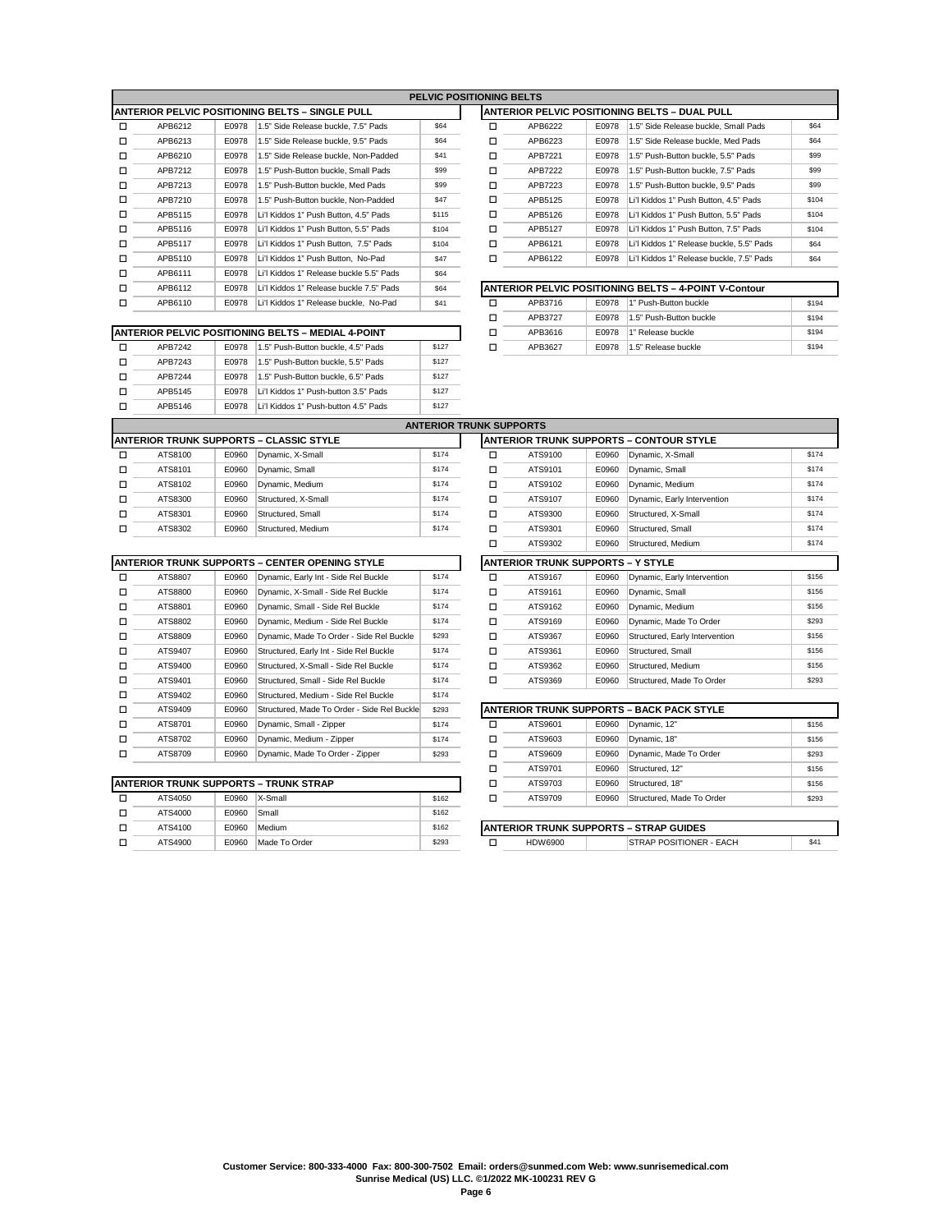|   |         |       |                                                  |       | <b>PELVIC POSITIONING BELTS</b> |         |       |                                                              |
|---|---------|-------|--------------------------------------------------|-------|---------------------------------|---------|-------|--------------------------------------------------------------|
|   |         |       | IANTERIOR PELVIC POSITIONING BELTS – SINGLE PULL |       |                                 |         |       | ANTERIOR PELVIC POSITIONING BELTS - DUAL PULL                |
| □ | APB6212 | E0978 | 1.5" Side Release buckle, 7.5" Pads              | \$64  | □                               | APB6222 | E0978 | 1.5" Side Release buckle, Small Pads                         |
| □ | APB6213 | E0978 | 1.5" Side Release buckle, 9.5" Pads              | \$64  | □                               | APB6223 | E0978 | 1.5" Side Release buckle, Med Pads                           |
| □ | APB6210 | E0978 | 1.5" Side Release buckle, Non-Padded             | \$41  | □                               | APB7221 | E0978 | 1.5" Push-Button buckle, 5.5" Pads                           |
| □ | APB7212 | E0978 | 1.5" Push-Button buckle, Small Pads              | \$99  | □                               | APB7222 | E0978 | 1.5" Push-Button buckle, 7.5" Pads                           |
| □ | APB7213 | E0978 | 1.5" Push-Button buckle, Med Pads                | \$99  | □                               | APB7223 | E0978 | 1.5" Push-Button buckle, 9.5" Pads                           |
| □ | APB7210 | E0978 | 1.5" Push-Button buckle, Non-Padded              | \$47  | □                               | APB5125 | E0978 | Li'l Kiddos 1" Push Button, 4,5" Pads                        |
| □ | APB5115 | E0978 | Li'l Kiddos 1" Push Button, 4.5" Pads            | \$115 | □                               | APB5126 | E0978 | Li'l Kiddos 1" Push Button, 5.5" Pads                        |
| □ | APB5116 | E0978 | Li'l Kiddos 1" Push Button, 5.5" Pads            | \$104 | □                               | APB5127 | E0978 | Li'l Kiddos 1" Push Button. 7.5" Pads                        |
| □ | APB5117 | E0978 | Li'l Kiddos 1" Push Button, 7.5" Pads            | \$104 | □                               | APB6121 | E0978 | Li'l Kiddos 1" Release buckle, 5.5" Pa                       |
| □ | APB5110 | E0978 | Li'l Kiddos 1" Push Button, No-Pad               | \$47  | □                               | APB6122 | E0978 | Li'l Kiddos 1" Release buckle, 7.5" Pa                       |
| □ | APB6111 | E0978 | Li'l Kiddos 1" Release buckle 5.5" Pads          | \$64  |                                 |         |       |                                                              |
| □ | APB6112 | E0978 | Li'l Kiddos 1" Release buckle 7.5" Pads          | \$64  |                                 |         |       | <b>ANTERIOR PELVIC POSITIONING BELTS - 4-POINT V-Contour</b> |
| □ | APB6110 | E0978 | Li'l Kiddos 1" Release buckle, No-Pad            | \$41  | □                               | APB3716 | E0978 | 1" Push-Button buckle                                        |

|         | <b>PELVIC POSITIONING BELTS</b> |                                          |              |   |                                                |       |                                          |       |  |  |  |  |  |  |
|---------|---------------------------------|------------------------------------------|--------------|---|------------------------------------------------|-------|------------------------------------------|-------|--|--|--|--|--|--|
|         |                                 | R PELVIC POSITIONING BELTS – SINGLE PULL |              |   | IANTERIOR PELVIC POSITIONING BELTS – DUAL PULL |       |                                          |       |  |  |  |  |  |  |
| APB6212 | E0978                           | 1.5" Side Release buckle, 7.5" Pads      | \$64         | □ | APB6222                                        | E0978 | 1.5" Side Release buckle, Small Pads     | \$64  |  |  |  |  |  |  |
| APB6213 | E0978                           | 1.5" Side Release buckle, 9.5" Pads      | \$64         | □ | APB6223                                        | E0978 | 1.5" Side Release buckle, Med Pads       | \$64  |  |  |  |  |  |  |
| APB6210 | E0978                           | 1.5" Side Release buckle, Non-Padded     | \$41         | □ | APB7221                                        | E0978 | 1.5" Push-Button buckle, 5.5" Pads       | \$99  |  |  |  |  |  |  |
| APB7212 | E0978                           | 1.5" Push-Button buckle, Small Pads      | \$99         | □ | APB7222                                        | E0978 | 1.5" Push-Button buckle, 7.5" Pads       | \$99  |  |  |  |  |  |  |
| APB7213 | E0978                           | 1.5" Push-Button buckle. Med Pads        | \$99         | □ | APB7223                                        | E0978 | 1.5" Push-Button buckle, 9.5" Pads       | \$99  |  |  |  |  |  |  |
| APB7210 | E0978                           | 1.5" Push-Button buckle, Non-Padded      | \$47         | □ | APB5125                                        | E0978 | Li'l Kiddos 1" Push Button, 4.5" Pads    | \$104 |  |  |  |  |  |  |
| APB5115 | E0978                           | Li'l Kiddos 1" Push Button, 4.5" Pads    | <b>\$115</b> | □ | APB5126                                        | E0978 | Li'l Kiddos 1" Push Button, 5.5" Pads    | \$104 |  |  |  |  |  |  |
| APB5116 | E0978                           | Li'l Kiddos 1" Push Button, 5.5" Pads    | \$104        | □ | APB5127                                        | E0978 | Li'l Kiddos 1" Push Button, 7.5" Pads    | \$104 |  |  |  |  |  |  |
| APB5117 | E0978                           | Li'l Kiddos 1" Push Button, 7.5" Pads    | \$104        | □ | APB6121                                        | E0978 | Li'l Kiddos 1" Release buckle, 5.5" Pads | \$64  |  |  |  |  |  |  |
| APB5110 | E0978                           | Li'l Kiddos 1" Push Button, No-Pad       | \$47         | □ | APB6122                                        | E0978 | Li'l Kiddos 1" Release buckle, 7.5" Pads | \$64  |  |  |  |  |  |  |
|         |                                 |                                          |              |   |                                                |       |                                          |       |  |  |  |  |  |  |

| \$64<br>APB6112<br>Li'l Kiddos 1" Release buckle 7.5" Pads<br>E0978 |       |                                             |              |         |       | <b>IANTERIOR PELVIC POSITIONING BELTS - 4-POINT V-Contour</b> |       |
|---------------------------------------------------------------------|-------|---------------------------------------------|--------------|---------|-------|---------------------------------------------------------------|-------|
| APB6110                                                             | E0978 | Li'l Kiddos 1" Release buckle. No-Pad       | \$41         | APB3716 | E0978 | 1" Push-Button buckle                                         | \$194 |
|                                                                     |       |                                             |              | APB3727 | E0978 | 1.5" Push-Button buckle                                       | \$194 |
|                                                                     |       | R PELVIC POSITIONING BELTS – MEDIAL 4-POINT |              | APB3616 | E0978 | 1" Release buckle                                             | \$194 |
| APB7242                                                             | E0978 | 1.5" Push-Button buckle, 4.5" Pads          | <b>\$127</b> | APB3627 | E0978 | 1.5" Release buckle                                           | \$194 |
|                                                                     |       |                                             |              |         |       |                                                               |       |

|                | IANTERIOR PELVIC POSITIONING BELTS – MEDIAL 4-POINT |       | □                                    | APB3616      | E0978 |         |       |  |  |
|----------------|-----------------------------------------------------|-------|--------------------------------------|--------------|-------|---------|-------|--|--|
| □              | APB7242                                             | E0978 | 1.5" Push-Button buckle, 4.5" Pads   | \$127        | п     | APB3627 | E0978 |  |  |
| п              | APB7243                                             | E0978 | 1.5" Push-Button buckle, 5.5" Pads   | <b>\$127</b> |       |         |       |  |  |
| п              | APB7244                                             | E0978 | 1.5" Push-Button buckle, 6.5" Pads   | <b>\$127</b> |       |         |       |  |  |
| п              | APB5145                                             | E0978 | Li'l Kiddos 1" Push-button 3.5" Pads | <b>\$127</b> |       |         |       |  |  |
|                | APB5146                                             | E0978 | \$127                                |              |       |         |       |  |  |
| $\blacksquare$ |                                                     |       |                                      |              |       |         |       |  |  |

|   | <b>ANTERIOR TRUNK SUPPORTS</b> |       |                                                 |              |   |                                                |       |                             |       |  |  |  |  |
|---|--------------------------------|-------|-------------------------------------------------|--------------|---|------------------------------------------------|-------|-----------------------------|-------|--|--|--|--|
|   |                                |       | <b>IANTERIOR TRUNK SUPPORTS – CLASSIC STYLE</b> |              |   | <b>ANTERIOR TRUNK SUPPORTS - CONTOUR STYLE</b> |       |                             |       |  |  |  |  |
| □ | ATS8100                        | E0960 | Dynamic, X-Small                                | <b>\$174</b> | ◻ | ATS9100                                        | E0960 | Dynamic, X-Small            | \$174 |  |  |  |  |
| □ | ATS8101                        | E0960 | Dynamic, Small                                  | <b>\$174</b> | □ | ATS9101                                        | E0960 | Dynamic, Small              | \$174 |  |  |  |  |
| □ | ATS8102                        | E0960 | Dynamic, Medium                                 | <b>\$174</b> | □ | ATS9102                                        | E0960 | Dynamic, Medium             | \$174 |  |  |  |  |
| □ | ATS8300                        | E0960 | Structured, X-Small                             | <b>\$174</b> | □ | ATS9107                                        | E0960 | Dynamic, Early Intervention | \$174 |  |  |  |  |
| □ | ATS8301                        | E0960 | Structured, Small                               | <b>\$174</b> | □ | ATS9300                                        | E0960 | Structured, X-Small         | \$174 |  |  |  |  |
|   | ATS8302                        | E0960 | Structured, Medium                              | <b>\$174</b> | о | ATS9301                                        | E0960 | Structured, Small           | \$174 |  |  |  |  |
|   |                                |       |                                                 |              | □ | ATS9302                                        | E0960 | Structured, Medium          | \$174 |  |  |  |  |
|   |                                |       |                                                 |              |   |                                                |       |                             |       |  |  |  |  |

|   |         |       | <b>ANTERIOR TRUNK SUPPORTS - CENTER OPENING STYLE</b> |              |   | <b>ANTERIOR TRUNK SUPPORTS - Y STYLE</b> |       |               |
|---|---------|-------|-------------------------------------------------------|--------------|---|------------------------------------------|-------|---------------|
| □ | ATS8807 | E0960 | Dynamic, Early Int - Side Rel Buckle                  | <b>\$174</b> | □ | ATS9167                                  | E0960 | Dynamic, Ea   |
| п | ATS8800 | E0960 | Dynamic, X-Small - Side Rel Buckle                    | <b>\$174</b> | □ | ATS9161                                  | E0960 | Dynamic, Sr   |
| □ | ATS8801 | E0960 | Dynamic, Small - Side Rel Buckle                      | <b>\$174</b> | □ | ATS9162                                  | E0960 | Dynamic, Me   |
| □ | ATS8802 | E0960 | Dynamic, Medium - Side Rel Buckle                     | <b>\$174</b> | □ | ATS9169                                  | E0960 | Dynamic, Ma   |
| □ | ATS8809 | E0960 | Dynamic, Made To Order - Side Rel Buckle              | \$293        | □ | ATS9367                                  | E0960 | Structured, E |
| □ | ATS9407 | E0960 | Structured, Early Int - Side Rel Buckle               | <b>\$174</b> | □ | ATS9361                                  | E0960 | Structured, S |
| п | ATS9400 | E0960 | Structured, X-Small - Side Rel Buckle                 | <b>\$174</b> | □ | ATS9362                                  | E0960 | Structured, M |
| □ | ATS9401 | E0960 | Structured, Small - Side Rel Buckle                   | <b>\$174</b> | ◻ | ATS9369                                  | E0960 | Structured. N |
| □ | ATS9402 | E0960 | Structured, Medium - Side Rel Buckle                  | <b>\$174</b> |   |                                          |       |               |
| □ | ATS9409 | E0960 | Structured, Made To Order - Side Rel Buckle           | \$293        |   | <b>ANTERIOR TRUNK SUPPORTS - BACK P/</b> |       |               |
| п | ATS8701 | E0960 | Dynamic, Small - Zipper                               | <b>\$174</b> | □ | ATS9601                                  | E0960 | Dynamic, 12   |
| □ | ATS8702 | E0960 | Dynamic, Medium - Zipper                              | <b>\$174</b> | □ | ATS9603                                  | E0960 | Dynamic, 18   |
| □ | ATS8709 | E0960 | Dynamic, Made To Order - Zipper                       | \$293        | □ | ATS9609                                  | E0960 | Dynamic, Ma   |

|         |       | IANTERIOR TRUNK SUPPORTS – TRUNK STRAP |              | ATS9703                                        | E0960 | Structured, 18"                | \$156 |
|---------|-------|----------------------------------------|--------------|------------------------------------------------|-------|--------------------------------|-------|
| ATS4050 | E0960 | $X-Small$                              | <b>\$162</b> | ATS9709                                        | E0960 | Structured, Made To Order      | \$293 |
| ATS4000 | E0960 | Small                                  | <b>\$162</b> |                                                |       |                                |       |
| ATS4100 | E0960 | Medium                                 | <b>\$162</b> | <b>IANTERIOR TRUNK SUPPORTS - STRAP GUIDES</b> |       |                                |       |
| ATS4900 | E0960 | Made To Order                          | <b>\$293</b> | HDW6900                                        |       | <b>STRAP POSITIONER - EACH</b> | \$41  |
|         |       |                                        |              |                                                |       |                                |       |

| ATS8100 | E0960 | Dynamic, X-Small                         | <b>\$174</b> | □ | ATS9100                                  | E0960 | Dynamic, X-Small               | \$174 |
|---------|-------|------------------------------------------|--------------|---|------------------------------------------|-------|--------------------------------|-------|
| ATS8101 | E0960 | Dynamic, Small                           | \$174        | □ | ATS9101                                  | E0960 | Dynamic, Small                 | \$174 |
| ATS8102 | E0960 | Dynamic, Medium                          | <b>\$174</b> | □ | ATS9102                                  | E0960 | Dynamic, Medium                | \$174 |
| ATS8300 | E0960 | Structured, X-Small                      | <b>\$174</b> | □ | ATS9107                                  | E0960 | Dynamic, Early Intervention    | \$174 |
| ATS8301 | E0960 | Structured, Small                        | <b>\$174</b> | □ | ATS9300                                  | E0960 | Structured, X-Small            | \$174 |
| ATS8302 | E0960 | Structured, Medium                       | \$174        | □ | ATS9301                                  | E0960 | Structured, Small              | \$174 |
|         |       |                                          |              | □ | ATS9302                                  | E0960 | Structured, Medium             | \$174 |
|         |       | R TRUNK SUPPORTS – CENTER OPENING STYLE  |              |   | <b>ANTERIOR TRUNK SUPPORTS - Y STYLE</b> |       |                                |       |
| ATS8807 | E0960 | Dynamic, Early Int - Side Rel Buckle     | \$174        | □ | ATS9167                                  | E0960 | Dynamic, Early Intervention    | \$156 |
| ATS8800 | E0960 | Dynamic, X-Small - Side Rel Buckle       | \$174        | □ | ATS9161                                  | E0960 | Dynamic, Small                 | \$156 |
| ATS8801 | E0960 | Dynamic, Small - Side Rel Buckle         | <b>\$174</b> | □ | ATS9162                                  | E0960 | Dynamic, Medium                | \$156 |
| ATS8802 | E0960 | Dynamic, Medium - Side Rel Buckle        | \$174        | □ | ATS9169                                  | E0960 | Dynamic, Made To Order         | \$293 |
| ATS8809 | E0960 | Dynamic, Made To Order - Side Rel Buckle | \$293        | □ | ATS9367                                  | E0960 | Structured, Early Intervention | \$156 |
| ATS9407 | E0960 | Structured, Early Int - Side Rel Buckle  | \$174        | □ | ATS9361                                  | E0960 | Structured, Small              | \$156 |
| ATS9400 | E0960 | Structured, X-Small - Side Rel Buckle    | \$174        | □ | ATS9362                                  | E0960 | Structured, Medium             | \$156 |
| ATS9401 |       |                                          |              |   |                                          |       |                                |       |
|         | E0960 | Structured, Small - Side Rel Buckle      | <b>\$174</b> | □ | ATS9369                                  | E0960 | Structured, Made To Order      | \$293 |

| \$293<br>ATS9409<br>Structured, Made To Order - Side Rel Buckle<br>E0960 |       |                                 |              |   |         |       | IANTERIOR TRUNK SUPPORTS – BACK PACK STYLE |       |
|--------------------------------------------------------------------------|-------|---------------------------------|--------------|---|---------|-------|--------------------------------------------|-------|
| ATS8701                                                                  | E0960 | Dynamic, Small - Zipper         | <b>\$174</b> | Г | ATS9601 | E0960 | Dynamic, 12"                               | \$156 |
| ATS8702                                                                  | E0960 | Dynamic, Medium - Zipper        | <b>\$174</b> | □ | ATS9603 | E0960 | Dynamic, 18"                               | \$156 |
| ATS8709                                                                  | E0960 | Dynamic, Made To Order - Zipper | \$293        | □ | ATS9609 | E0960 | Dynamic, Made To Order                     | \$293 |
|                                                                          |       |                                 |              | □ | ATS9701 | E0960 | Structured, 12"                            | \$156 |
|                                                                          |       | R TRUNK SUPPORTS – TRUNK STRAP  |              | с | ATS9703 | E0960 | Structured, 18"                            | \$156 |
| ATS4050                                                                  | E0960 | X-Small                         | \$162        | с | ATS9709 | E0960 | Structured, Made To Order                  | \$293 |
| ATS4000                                                                  | E0960 | Small                           | \$162        |   |         |       |                                            |       |
| ATS4100<br>\$162<br>E0960<br>Medium                                      |       |                                 |              |   |         |       | ANTERIOR TRUNK SUPPORTS – STRAP GUIDES     |       |

| ┙      | ATS4100        | E0960<br>. | Medium<br>.      | \$162 | I ANT' | ERIOR TRUNK SUPPORTS | <b>STRAP GUIDES</b> |      |
|--------|----------------|------------|------------------|-------|--------|----------------------|---------------------|------|
| -<br>− | <b>ATS4900</b> | $-0960$    | To Order<br>Aade | \$293 |        | HD'                  | 2001<br>.<br>- A U  | - 34 |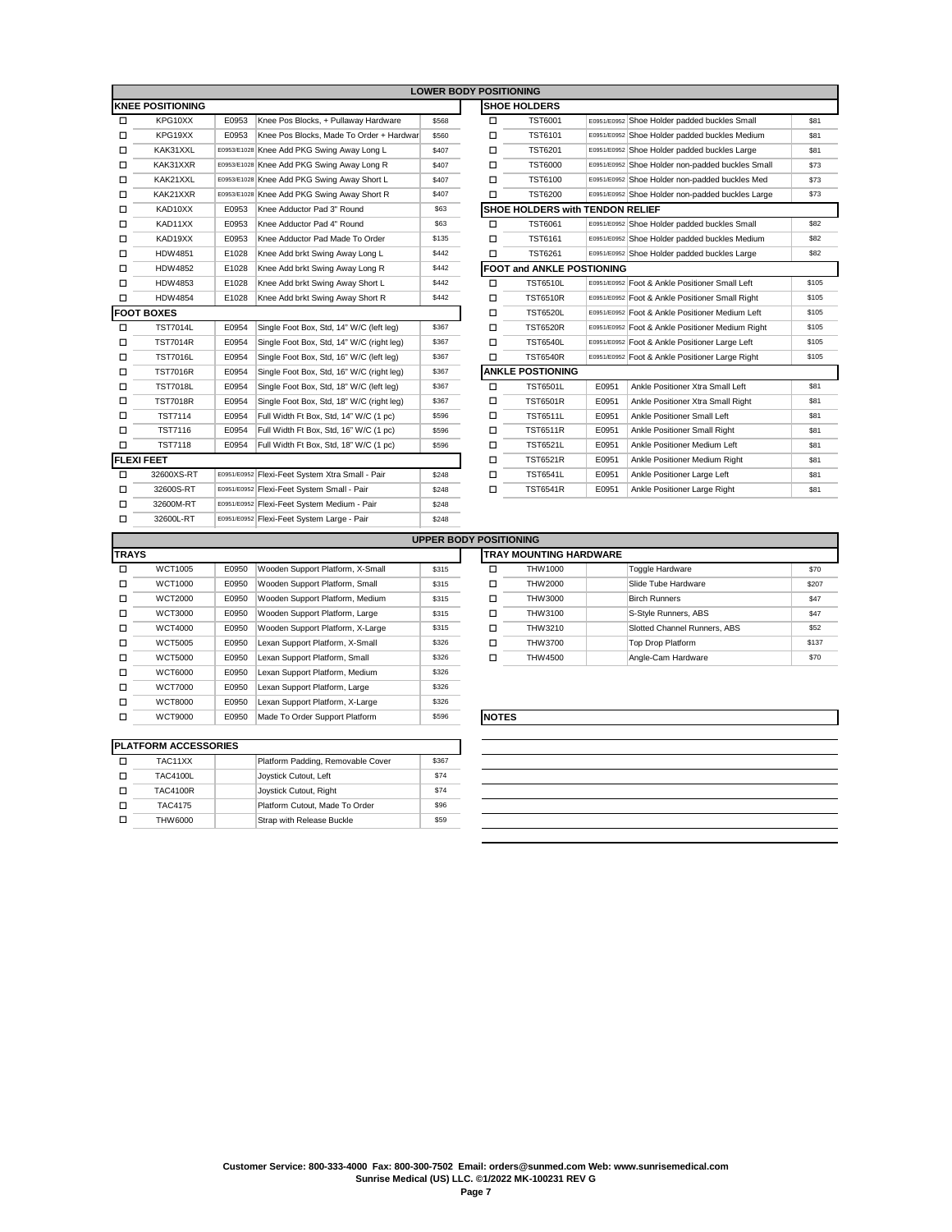|                                                                                                              |                         |       |                                                 |              | <b>LOWER BODY POSITIONING</b> |                                        |       |                                                  |       |
|--------------------------------------------------------------------------------------------------------------|-------------------------|-------|-------------------------------------------------|--------------|-------------------------------|----------------------------------------|-------|--------------------------------------------------|-------|
|                                                                                                              | <b>KNEE POSITIONING</b> |       |                                                 |              |                               | <b>SHOE HOLDERS</b>                    |       |                                                  |       |
| □                                                                                                            | KPG10XX                 | E0953 | Knee Pos Blocks, + Pullaway Hardware            | <b>\$568</b> | □                             | <b>TST6001</b>                         |       | E0951/E0952 Shoe Holder padded buckles Small     | \$81  |
| □                                                                                                            | KPG19XX                 | E0953 | Knee Pos Blocks, Made To Order + Hardwar        | \$560        | □                             | <b>TST6101</b>                         |       | E0951/E0952 Shoe Holder padded buckles Medium    | \$81  |
| □                                                                                                            | KAK31XXL                |       | E0953/E1028 Knee Add PKG Swing Away Long L      | \$407        | □                             | <b>TST6201</b>                         |       | E0951/E0952 Shoe Holder padded buckles Large     | \$81  |
| □                                                                                                            | KAK31XXR                |       | E0953/E1028 Knee Add PKG Swing Away Long R      | \$407        | □                             | <b>TST6000</b>                         |       | E0951/E0952 Shoe Holder non-padded buckles Small | \$73  |
| □                                                                                                            | KAK21XXL                |       | E0953/E1028 Knee Add PKG Swing Away Short L     | \$407        | □                             | <b>TST6100</b>                         |       | E0951/E0952 Shoe Holder non-padded buckles Med   | \$73  |
| □                                                                                                            | KAK21XXR                |       | E0953/E1028 Knee Add PKG Swing Away Short R     | \$407        | П                             | <b>TST6200</b>                         |       | E0951/E0952 Shoe Holder non-padded buckles Large | \$73  |
| □                                                                                                            | KAD10XX                 | E0953 | Knee Adductor Pad 3" Round                      | \$63         |                               | <b>SHOE HOLDERS with TENDON RELIEF</b> |       |                                                  |       |
| □                                                                                                            | KAD11XX                 | E0953 | Knee Adductor Pad 4" Round                      | \$63         | □                             | <b>TST6061</b>                         |       | E0951/E0952 Shoe Holder padded buckles Small     | \$82  |
| □                                                                                                            | KAD19XX                 | E0953 | Knee Adductor Pad Made To Order                 | \$135        | □                             | <b>TST6161</b>                         |       | E0951/E0952 Shoe Holder padded buckles Medium    | \$82  |
| □                                                                                                            | HDW4851                 | E1028 | Knee Add brkt Swing Away Long L                 | \$442        | □                             | <b>TST6261</b>                         |       | E0951/E0952 Shoe Holder padded buckles Large     | \$82  |
| <b>FOOT and ANKLE POSTIONING</b><br>E1028<br>\$442<br><b>HDW4852</b><br>Knee Add brkt Swing Away Long R<br>□ |                         |       |                                                 |              |                               |                                        |       |                                                  |       |
| □                                                                                                            | HDW4853                 | E1028 | Knee Add brkt Swing Away Short L                | \$442        | □                             | <b>TST6510L</b>                        |       | E0951/E0952 Foot & Ankle Positioner Small Left   | \$105 |
| □                                                                                                            | <b>HDW4854</b>          | E1028 | Knee Add brkt Swing Away Short R                | \$442        | □                             | <b>TST6510R</b>                        |       | E0951/E0952 Foot & Ankle Positioner Small Right  | \$105 |
|                                                                                                              | <b>FOOT BOXES</b>       |       |                                                 |              | □                             | <b>TST6520L</b>                        |       | E0951/E0952 Foot & Ankle Positioner Medium Left  | \$105 |
| □                                                                                                            | <b>TST7014L</b>         | E0954 | Single Foot Box, Std, 14" W/C (left leg)        | \$367        | □                             | <b>TST6520R</b>                        |       | E0951/E0952 Foot & Ankle Positioner Medium Right | \$105 |
| □                                                                                                            | <b>TST7014R</b>         | E0954 | Single Foot Box, Std, 14" W/C (right leg)       | \$367        | □                             | <b>TST6540L</b>                        |       | E0951/E0952 Foot & Ankle Positioner Large Left   | \$105 |
| □                                                                                                            | <b>TST7016L</b>         | E0954 | Single Foot Box, Std, 16" W/C (left leg)        | <b>\$367</b> | □                             | <b>TST6540R</b>                        |       | E0951/E0952 Foot & Ankle Positioner Large Right  | \$105 |
| □                                                                                                            | <b>TST7016R</b>         | E0954 | Single Foot Box, Std, 16" W/C (right leg)       | \$367        |                               | <b>ANKLE POSTIONING</b>                |       |                                                  |       |
| □                                                                                                            | <b>TST7018L</b>         | E0954 | Single Foot Box, Std, 18" W/C (left leg)        | \$367        | о                             | <b>TST6501L</b>                        | E0951 | Ankle Positioner Xtra Small Left                 | \$81  |
| □                                                                                                            | <b>TST7018R</b>         | E0954 | Single Foot Box, Std, 18" W/C (right leg)       | \$367        | □                             | <b>TST6501R</b>                        | E0951 | Ankle Positioner Xtra Small Right                | \$81  |
| □                                                                                                            | <b>TST7114</b>          | E0954 | Full Width Ft Box, Std, 14" W/C (1 pc)          | \$596        | □                             | <b>TST6511L</b>                        | E0951 | Ankle Positioner Small Left                      | \$81  |
| $\Box$                                                                                                       | <b>TST7116</b>          | E0954 | Full Width Ft Box, Std, 16" W/C (1 pc)          | \$596        | □                             | <b>TST6511R</b>                        | E0951 | Ankle Positioner Small Right                     | \$81  |
| □                                                                                                            | <b>TST7118</b>          | E0954 | Full Width Ft Box, Std, 18" W/C (1 pc)          | \$596        | □                             | <b>TST6521L</b>                        | E0951 | Ankle Positioner Medium Left                     | \$81  |
|                                                                                                              | <b>FLEXI FEET</b>       |       |                                                 |              | □                             | <b>TST6521R</b>                        | E0951 | Ankle Positioner Medium Right                    | \$81  |
| □                                                                                                            | 32600XS-RT              |       | E0951/E0952 Flexi-Feet System Xtra Small - Pair | \$248        | □                             | <b>TST6541L</b>                        | E0951 | Ankle Positioner Large Left                      | \$81  |
| □                                                                                                            | 32600S-RT               |       | E0951/E0952 Flexi-Feet System Small - Pair      | <b>\$248</b> | □                             | <b>TST6541R</b>                        | E0951 | Ankle Positioner Large Right                     | \$81  |
| □                                                                                                            | 32600M-RT               |       | E0951/E0952 Flexi-Feet System Medium - Pair     | \$248        |                               |                                        |       |                                                  |       |
| □                                                                                                            | 32600L-RT               |       | E0951/E0952 Flexi-Feet System Large - Pair      | \$248        |                               |                                        |       |                                                  |       |

|                   | <b>LOWER BODY POSITIONING</b> |                                                 |              |    |                                  |       |                                                  |       |  |  |
|-------------------|-------------------------------|-------------------------------------------------|--------------|----|----------------------------------|-------|--------------------------------------------------|-------|--|--|
| <b>DSITIONING</b> |                               |                                                 |              |    | <b>ISHOE HOLDERS</b>             |       |                                                  |       |  |  |
| KPG10XX           | E0953                         | Knee Pos Blocks, + Pullaway Hardware            | \$568        | □  | <b>TST6001</b>                   |       | E0951/E0952 Shoe Holder padded buckles Small     | \$81  |  |  |
| KPG19XX           | E0953                         | Knee Pos Blocks, Made To Order + Hardwar        | \$560        | □  | TST6101                          |       | E0951/E0952 Shoe Holder padded buckles Medium    | \$81  |  |  |
| KAK31XXL          |                               | E0953/E1028 Knee Add PKG Swing Away Long L      | \$407        | □  | <b>TST6201</b>                   |       | E0951/E0952 Shoe Holder padded buckles Large     | \$81  |  |  |
| KAK31XXR          |                               | E0953/E1028 Knee Add PKG Swing Away Long R      | \$407        | □  | <b>TST6000</b>                   |       | E0951/E0952 Shoe Holder non-padded buckles Small | \$73  |  |  |
| KAK21XXL          |                               | E0953/E1028 Knee Add PKG Swing Away Short L     | \$407        | □  | TST6100                          |       | E0951/E0952 Shoe Holder non-padded buckles Med   | \$73  |  |  |
| KAK21XXR          |                               | E0953/E1028 Knee Add PKG Swing Away Short R     | \$407        | □  | <b>TST6200</b>                   |       | E0951/E0952 Shoe Holder non-padded buckles Large | \$73  |  |  |
| KAD10XX           | E0953                         | Knee Adductor Pad 3" Round                      | \$63         |    | SHOE HOLDERS with TENDON RELIEF  |       |                                                  |       |  |  |
| KAD11XX           | E0953                         | Knee Adductor Pad 4" Round                      | \$63         | Ω. | TST6061                          |       | E0951/E0952 Shoe Holder padded buckles Small     | \$82  |  |  |
| KAD19XX           | E0953                         | Knee Adductor Pad Made To Order                 | \$135        | □  | TST6161                          |       | E0951/E0952 Shoe Holder padded buckles Medium    | \$82  |  |  |
| HDW4851           | E1028                         | Knee Add brkt Swing Away Long L                 | \$442        | □  | <b>TST6261</b>                   |       | E0951/E0952 Shoe Holder padded buckles Large     | \$82  |  |  |
| <b>HDW4852</b>    | E1028                         | Knee Add brkt Swing Away Long R                 | <b>\$442</b> |    | <b>FOOT and ANKLE POSTIONING</b> |       |                                                  |       |  |  |
| HDW4853           | E1028                         | Knee Add brkt Swing Away Short L                | <b>\$442</b> | Ω. | <b>TST6510L</b>                  |       | E0951/E0952 Foot & Ankle Positioner Small Left   | \$105 |  |  |
| <b>HDW4854</b>    | E1028                         | Knee Add brkt Swing Away Short R                | <b>\$442</b> | □  | <b>TST6510R</b>                  |       | E0951/E0952 Foot & Ankle Positioner Small Right  | \$105 |  |  |
| <b>DXES</b>       |                               |                                                 |              | □  | <b>TST6520L</b>                  |       | E0951/E0952 Foot & Ankle Positioner Medium Left  | \$105 |  |  |
| <b>TST7014L</b>   | E0954                         | Single Foot Box, Std, 14" W/C (left leg)        | \$367        | □  | <b>TST6520R</b>                  |       | E0951/E0952 Foot & Ankle Positioner Medium Right | \$105 |  |  |
| <b>TST7014R</b>   | E0954                         | Single Foot Box, Std, 14" W/C (right leg)       | \$367        | □  | <b>TST6540L</b>                  |       | E0951/E0952 Foot & Ankle Positioner Large Left   | \$105 |  |  |
| <b>TST7016L</b>   | E0954                         | Single Foot Box, Std, 16" W/C (left leg)        | \$367        | □  | <b>TST6540R</b>                  |       | E0951/E0952 Foot & Ankle Positioner Large Right  | \$105 |  |  |
| <b>TST7016R</b>   | E0954                         | Single Foot Box, Std, 16" W/C (right leg)       | \$367        |    | <b>ANKLE POSTIONING</b>          |       |                                                  |       |  |  |
| <b>TST7018L</b>   | E0954                         | Single Foot Box, Std, 18" W/C (left leg)        | <b>\$367</b> | □  | <b>TST6501L</b>                  | E0951 | Ankle Positioner Xtra Small Left                 | \$81  |  |  |
| <b>TST7018R</b>   | E0954                         | Single Foot Box, Std, 18" W/C (right leg)       | \$367        | □  | <b>TST6501R</b>                  | E0951 | Ankle Positioner Xtra Small Right                | \$81  |  |  |
| <b>TST7114</b>    | E0954                         | Full Width Ft Box, Std, 14" W/C (1 pc)          | \$596        | □  | <b>TST6511L</b>                  | E0951 | Ankle Positioner Small Left                      | \$81  |  |  |
| <b>TST7116</b>    | E0954                         | Full Width Ft Box, Std, 16" W/C (1 pc)          | \$596        | □  | <b>TST6511R</b>                  | E0951 | Ankle Positioner Small Right                     | \$81  |  |  |
| <b>TST7118</b>    | E0954                         | Full Width Ft Box, Std, 18" W/C (1 pc)          | \$596        | □  | <b>TST6521L</b>                  | E0951 | Ankle Positioner Medium Left                     | \$81  |  |  |
| ET.               |                               |                                                 |              | □  | <b>TST6521R</b>                  | E0951 | Ankle Positioner Medium Right                    | \$81  |  |  |
| 32600XS-RT        |                               | E0951/E0952 Flexi-Feet System Xtra Small - Pair | \$248        | □  | <b>TST6541L</b>                  | E0951 | Ankle Positioner Large Left                      | \$81  |  |  |
| 32600S-RT         |                               | E0951/E0952 Flexi-Feet System Small - Pair      | <b>\$248</b> | □  | <b>TST6541R</b>                  | E0951 | Ankle Positioner Large Right                     | \$81  |  |  |
|                   |                               |                                                 |              |    |                                  |       |                                                  |       |  |  |

|                | <b>UPPER BODY POSITIONING</b> |                                  |              |                               |         |                          |  |  |  |  |
|----------------|-------------------------------|----------------------------------|--------------|-------------------------------|---------|--------------------------|--|--|--|--|
|                |                               |                                  |              | <b>TRAY MOUNTING HARDWARE</b> |         |                          |  |  |  |  |
| WCT1005        | E0950                         | Wooden Support Platform, X-Small | \$315        | ◻                             | THW1000 | <b>Toggle Hardware</b>   |  |  |  |  |
| WCT1000        | E0950                         | Wooden Support Platform, Small   | <b>\$315</b> | □                             | THW2000 | Slide Tube Hardw         |  |  |  |  |
| <b>WCT2000</b> | E0950                         | Wooden Support Platform, Medium  | <b>\$315</b> | □                             | THW3000 | <b>Birch Runners</b>     |  |  |  |  |
| <b>WCT3000</b> | E0950                         | Wooden Support Platform, Large   | \$315        | □                             | THW3100 | S-Style Runners,         |  |  |  |  |
| <b>WCT4000</b> | E0950                         | Wooden Support Platform, X-Large | <b>\$315</b> | □                             | THW3210 | Slotted Channel F        |  |  |  |  |
| <b>WCT5005</b> | E0950                         | Lexan Support Platform, X-Small  | \$326        | □                             | THW3700 | <b>Top Drop Platforr</b> |  |  |  |  |
| <b>WCT5000</b> | E0950                         | Lexan Support Platform, Small    | \$326        | □                             | THW4500 | Angle-Cam Hard           |  |  |  |  |
| <b>WCT6000</b> | E0950                         | Lexan Support Platform, Medium   | \$326        |                               |         |                          |  |  |  |  |
| <b>WCT7000</b> | E0950                         | Lexan Support Platform, Large    | \$326        |                               |         |                          |  |  |  |  |
| <b>WCT8000</b> | E0950                         | Lexan Support Platform, X-Large  | \$326        |                               |         |                          |  |  |  |  |
| <b>WCT9000</b> | E0950                         | Made To Order Support Platform   | <b>\$596</b> |                               |         |                          |  |  |  |  |
|                | <b>TRAYS</b>                  |                                  |              |                               |         | <b>NOTES</b>             |  |  |  |  |

|         | <b>UPPER BODY POSITIONING</b> |                                  |              |   |                               |                              |       |  |  |  |
|---------|-------------------------------|----------------------------------|--------------|---|-------------------------------|------------------------------|-------|--|--|--|
|         |                               |                                  |              |   | <b>TRAY MOUNTING HARDWARE</b> |                              |       |  |  |  |
| WCT1005 | E0950                         | Wooden Support Platform, X-Small | <b>\$315</b> |   | THW1000                       | Toggle Hardware              | \$70  |  |  |  |
| WCT1000 | E0950                         | Wooden Support Platform, Small   | <b>\$315</b> | □ | THW2000                       | Slide Tube Hardware          | \$207 |  |  |  |
| WCT2000 | E0950                         | Wooden Support Platform, Medium  | <b>\$315</b> | □ | THW3000                       | <b>Birch Runners</b>         | \$47  |  |  |  |
| WCT3000 | E0950                         | Wooden Support Platform, Large   | <b>\$315</b> | □ | THW3100                       | S-Style Runners, ABS         | \$47  |  |  |  |
| WCT4000 | E0950                         | Wooden Support Platform, X-Large | <b>\$315</b> | □ | THW3210                       | Slotted Channel Runners, ABS | \$52  |  |  |  |
| WCT5005 | E0950                         | Lexan Support Platform, X-Small  | <b>\$326</b> | □ | THW3700                       | Top Drop Platform            | \$137 |  |  |  |
| WCT5000 | E0950                         | Lexan Support Platform, Small    | <b>\$326</b> | п | THW4500                       | Angle-Cam Hardware           | \$70  |  |  |  |
|         |                               |                                  |              |   |                               |                              |       |  |  |  |

### o o o o THW6000 Strap with Release Buckle \$59 TAC4100R Joystick Cutout, Right \$74 TAC4175 Platform Cutout, Made To Order \$96 TAC11XX Platform Padding, Removable Cover \$367 TAC4100L Joystick Cutout, Left \$74 **PLATFORM ACCESSORIES**

### **Customer Service: 800-333-4000 Fax: 800-300-7502 Email: orders@sunmed.com Web: www.sunrisemedical.com Sunrise Medical (US) LLC. ©1/2022 MK-100231 REV G Page 7**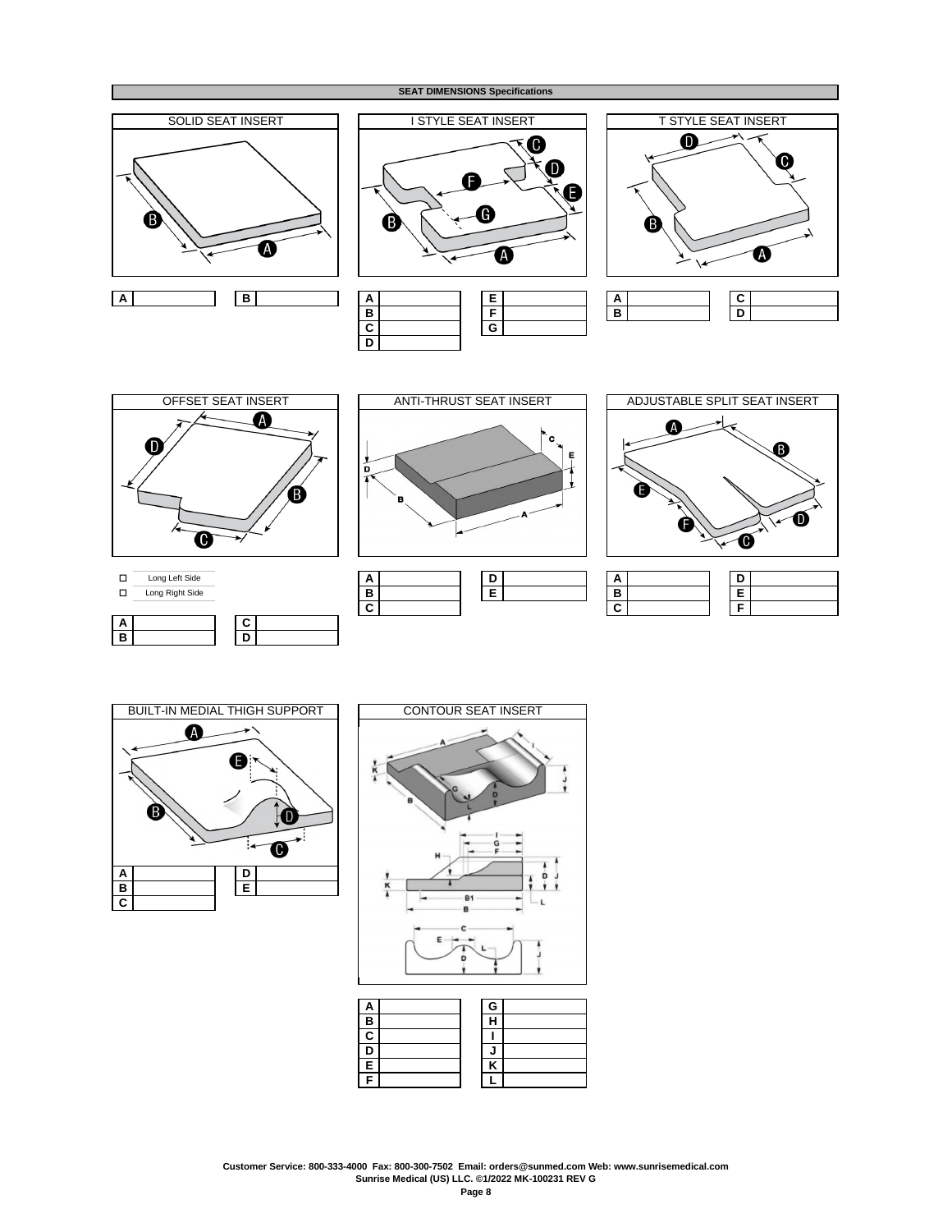

















Long Left Side